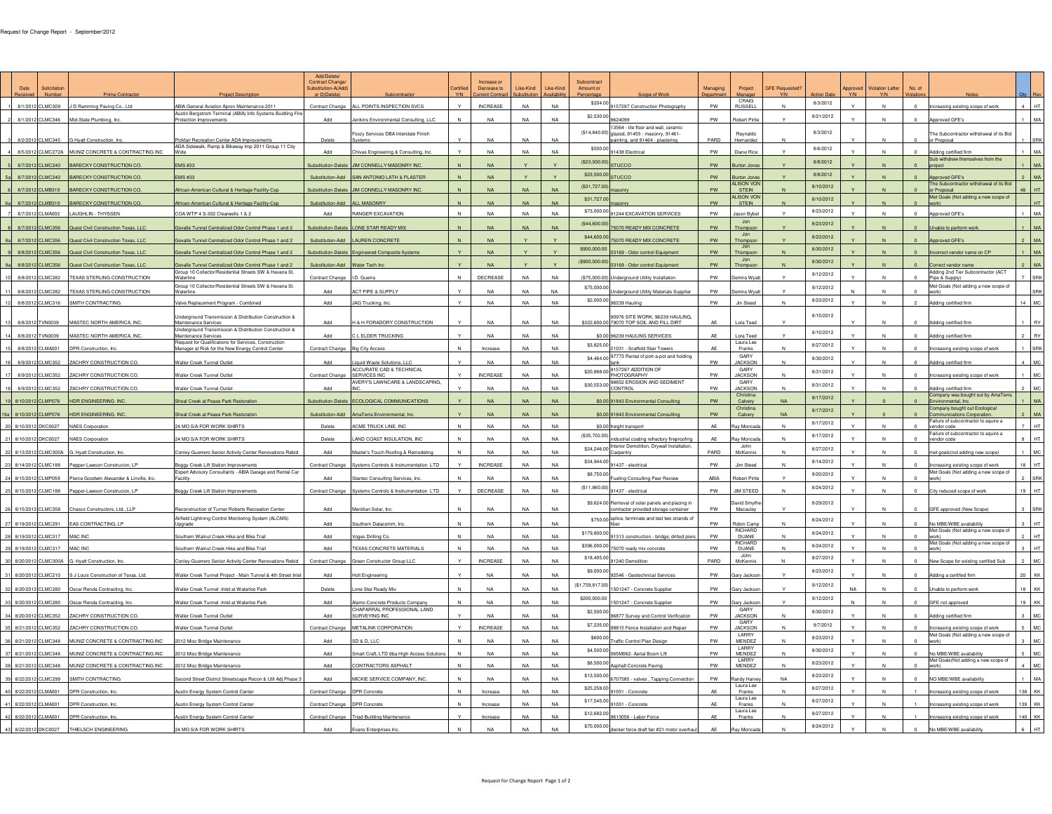| CRAIG<br>8/3/2012<br>\$204.00<br>$4$ HT<br>8/1/2012 CLMC309<br>J D Ramming Paving Co., Ltd.<br>ABIA General Aviation Apron Maintenance-2011<br>Contract Change<br>ALL POINTS INSPECTION SVCS<br><b>INCREASE</b><br><b>NA</b><br>9157297 Construction Photography<br>PW<br><b>RUSSEL</b><br>Increasing existing scope of work<br>Austin Bergstrom Terminal (ABIA) Info Systems Buidling Fire<br>\$2,530.00<br>8/21/2012<br>8/1/2012 CLMC346<br>NA<br><b>NA</b><br><b>NA</b><br>PW<br>$\sqrt{2}$<br>$1$ MA<br>Mid-State Plumbing, Inc<br>Add<br>Jenkins Environmental Consulting, LLC<br>Robert Pirtle<br>Approved GFE's<br>otection Improvements<br>13564 - tile floor and wall, ceramic<br>(\$14,840.00) glazed, 91455 - masonry, 91461-<br>8/3/2012<br>Foxzy Services DBA Interstate Finish<br>The Subcontractor withdrawal of its Bid<br>Reynaldo<br>Pickfair Recreation Center ADA Improvements<br><b>NA</b><br>painting, and 91464 - plastering<br>PARD<br>3 8/2/2012 CLMC345 G Hyatt Construction, Inc.<br>Delete<br>NA<br>NA<br>Hemandez<br>or Proposal<br>ADA Sidewalk, Ramp & Bikeway Imp 2011 Group 11 City<br>\$500.00<br>8/6/2012<br>8/5/2012 CLMC272A MUNIZ CONCRETE & CONTRACTING INC<br>Chivas Engineering & Consulting, Ing<br>N <sub>A</sub><br>91438 Electrica<br>PW<br>Diane Rice<br>Adding certified firm<br>MA<br>Arid<br>Sub withdrew themselves from the<br>\$23,500.0<br>8/8/2012<br>$1$ MA<br>EMS #33<br>JIM CONNELLY MASONRY INC.<br>8/7/2012 CLMC240<br><b>BARECKY CONSTRUCTION CO</b><br>ubstitution-Delete<br><b>NA</b><br>STUCCO<br>PW<br>surton Jon<br>project<br>\$23,500.00<br>8/8/2012<br>$2$ MA<br>8/7/2012 CLMC240<br><b>EMS #33</b><br>SAN ANTONIO LATH & PLASTER<br><b>NA</b><br><b>BARECKY CONSTRUCTION CO</b><br>Substitution-Add<br>PW<br>urton Jone<br>Approved GFE's<br>ALISON VON<br>The Subcontractor withdrawal of its Bid<br>8/10/2012<br>(\$31,727.0)<br>48 HT<br><b>JIM CONNELLY MASONRY INC</b><br><b>NA</b><br>8/7/2012 CLMB310<br><b>BARECKY CONSTRUCTION CO</b><br>Substitution-Delete<br><b>NA</b><br><b>NA</b><br>PW<br>African-American Cultural & Heritage Facility-Csp<br>STEIN<br>N<br>or Proposal<br><b>ALISON VON</b><br>Met Goals (Not adding a new scope of<br>\$31,727.<br>8/10/2012<br>HT<br>8/7/2012 CLMB310<br>BARECKY CONSTRUCTION CO<br><b>ALL MASONRY</b><br><b>NA</b><br><b>NA</b><br>PW<br>frican-American Cultural & Heritage Facility-Csp<br>Substitution-Add<br><b>NA</b><br>STEIN<br>\$73,000.00<br>8/23/2012<br>$1$ MA<br>8/7/2012 CLMA002<br>LAUGHLIN - THYSSEN<br>OA WTP 4 S-302 Clearwells 1 & 2<br>RANGER EXCAVATION<br>N <sub>A</sub><br>$N$ A<br><b>NA</b><br>91244 EXCAVATION SERVICES<br>PW<br>ason Bybel<br>N<br>Approved GFE's<br>Add<br>Jon<br>(\$44,600.00<br>8/23/2012<br>LONE STAR READY MD<br><b>NA</b><br>$N_f$<br>070 READY MIX CONCRETE<br>PW<br>MA<br><b>NA</b><br>8/7/2012 CLMC356<br>luest Civil Construction Texas, LLO<br>valle Tunnel Centralized Odor Control Phase 1 and 2<br>ubstitution-Delete<br>Thompso<br>Inable to perform wo<br>Jon<br>\$44,600.00<br>8/23/2012<br>MA<br>8/7/2012<br>CLMC356<br>Quest Civil Construction Texas, LLC<br><b>LAUREN CONCRETE</b><br>$N_A$<br>070 READY MIX CONCRETE<br>PW<br>walle Tunnel Centralized Odor Control Phase 1 and 2<br>Substitution-Add<br>Thompso<br><b>Noproved GFE</b><br>\$900,000.0<br>8/30/2012<br>$1$ MA<br>8/8/2012 CLMC356<br><b>NA</b><br>PW<br>luest Civil Construction Texas, LLC<br>03169 - Odor control Equipment<br>N<br>orrect vendor name on CP<br>walle Tunnel Centralized Odor Control Phase 1 and 2<br>ubstitution-Delete<br><b>Engineered Composite Syster</b><br>Thompson<br>$.$ lon<br>(\$900,000.0<br>8/30/2012<br>9a 8/8/2012 CLMC356<br><b>NA</b><br>PW<br>$2$ MA<br>Sovalle Tunnel Centralized Odor Control Phase 1 and 2<br>Substitution-Add<br>Water Tech Inc<br>03169 - Odor control Equipmen<br>Quest Civil Construction Texas, LLC<br>Thompson<br>Correct vendor name<br>Group 10 Collector/Residential Streets SW & Havana St.<br>Adding 2nd Tier Subcontractor (ACT<br>9/12/2012<br><b>TEXAS STERLING CONSTRUCTION</b><br>Contract Change<br>DECREASE<br>PW<br>SRK<br>10 8/8/2012 CLMC282<br>D. Guerra<br>(\$75,000.0<br>derground Utility Installation<br>emira Wyat<br>Pipe & Supply)<br>Vaterline<br>Group 10 Collector/Residential Streets SW & Havana St.<br>Met Goals (Not adding a new scope of<br>\$75,000.00<br>9/12/2012<br>ACT PIPE & SUPPLY<br>11 8/8/2012 CLMC282<br>TEXAS STERLING CONSTRUCTION<br>PW<br>SRK<br>N/<br>Add<br>derground Utility Materials Supplie<br>lemira Wya<br>Vaterline<br>\$2,000.00<br>8/23/2012<br>12 8/8/2012 CLMC316<br>14 MC<br>SMITH CONTRACTING<br>Add<br>JAG Trucking, In<br>N <sub>A</sub><br>PW<br>Valve Replacement Program - Combined<br>239 Haulin<br>Jin Steed<br>Adding certified fin<br>8/10/2012<br>90976 SITE WORK, 96239 HAULING,<br>Inderground Transmission & Distribution Construction &<br>H & H FORADORY CONSTRUCTION<br><b>NA</b><br>\$322,600.00 79070 TOP SOIL AND FILL DIRT<br>13 8/8/2012 TVN0039<br><b>MASTEC NORTH AMERICA, IN</b><br>Maintenance Services<br>NA<br>Lora Teed<br>Add<br>Adding certified fir<br>Underground Transmission & Distribution Construction &<br>8/10/2012<br>14 8/8/2012 TVN0039<br>MASTEC NORTH AMERICA, INC<br>C L ELDER TRUCKING<br><b>NA</b><br>\$0.00 96239 HAULING SERVICES<br><b>RY</b><br>Maintenance Services<br>Add<br>NA<br><b>NA</b><br>Lora Teed<br>Adding certified firm<br>Request for Qualifications for Services, Construction<br>Laura Lee<br>\$3,825.00<br>8/27/2012<br>$\Delta \mathsf{E}$<br>Contract Change<br><b>NA</b><br><b>NA</b><br>$\mathbf{M}$<br>SRK<br>8/8/2012 CLMA001<br>DPR Construction, Inc<br><b>Big City Access</b><br>21031 - Scaffold Stair Towers<br>$\mathbf{M}$<br>Manager at Risk for the New Energy Control Center<br>Increase<br>Franks<br>ncreasing existing scope of work<br>GARY<br>\$4,464.00 97773 Rental of port-a-pot and holding<br>8/30/2012<br>4 MC<br>8/9/2012 CLMC352<br>ZACHRY CONSTRUCTION CO<br><b>Waller Creek Tunnel Outlet</b><br>iquid Waste Solutions, LLC<br>NΔ<br><b>NA</b><br>NA<br><b>PW</b><br><b>JACKSON</b><br>M<br>Add<br>Adding certified fin<br>ACCURATE CAD & TECHNICAL<br>\$20,888.00 9157297 ADDITION OF<br>GARY<br>8/31/2012<br><b>MC</b><br>ZACHRY CONSTRUCTION CO<br>Waller Creek Tunnel Outlet<br>Contract Change<br><b>INCREASE</b><br><b>NA</b><br>$\mathbf{M}$<br>$\mathbf{N}$<br>8/9/2012 CLMC352<br>SERVICES INC.<br><b>NA</b><br>PHOTOGRAPHY<br>PW<br><b>JACKSON</b><br>creasing existing scope of work<br>AVERY'S LAWNCARE & LANDSCAPING,<br>\$30,553.00 98852 EROSION AND SEDIMENT<br>GARY<br>8/31/2012<br>M <sub>C</sub><br>PW<br>8/9/2012<br>CLMC352<br>ZACHRY CONSTRUCTION CO<br>Waller Creek Tunnel Outlet<br>Add<br>N <sub>A</sub><br><b>JACKSON</b><br>Adding certified firm<br>CONTROL<br>Christina<br>Company was bought out by AmaTerra<br>8/17/2012<br>19 8/10/2012 CLMP076<br>$1$ MA<br>HDR ENGINEERING INC<br>ubstitution-Delete ECOLOGICAL COMMUNICATIONS<br>$N_A$<br>N <sub>f</sub><br><b>NA</b><br>PW<br>Calvery<br><b>NA</b><br>Shoal Creek at Pease Park Restoratio<br>\$0.00 91843 Environmental Consulting<br>nvironmental, Inc.<br>Company bought out Ecological<br>Christina<br>8/17/2012<br><b>NA</b><br><b>NA</b><br>${\sf PW}$<br>MA<br>a 8/10/201<br>CLMP076<br><b>DR ENGINEERING INC</b><br>hoal Creek at Pease Park Restorati<br>Substitution-Add<br>AmaTerra Environmental, In<br>$N_A$<br>\$0.00 91843 Environmental Consulting<br>Calvery<br><b>NA</b><br>Communications Corporation.<br>ailure of subcontractor to aquire a<br>8/17/2012<br>$7$ HT<br>ΔF<br>20 8/10/2012<br>24 MO S/A FOR WORK SHIRTS<br>ACME TRUCK LINE INC<br><b>NA</b><br><b>NA</b><br><b>NA</b><br>\$0.00 freight transpor<br>$\mathbf{N}$<br><b>DKC0027</b><br><b>JAES</b> Cornoratio<br>Delete<br>lay Moncar<br>$\mathbf{M}$<br>vendor code<br>Failure of subcontractor to aquire a<br>(\$35,702.00)<br>8/17/2012<br>$8$ HT<br>21 8/10/2012<br>4 MO S/A FOR WORK SHIRTS<br>AND COAST INSULATION, INC.<br>$\mathbf{N}$<br>NA<br><b>NA</b><br><b>DKC0027</b><br><b>NAES</b> Corporatio<br>Delete<br><b>NA</b><br><b>AF</b><br>lay Moncad<br>industrial coating refractory fireproofing<br>vendor code<br>\$24,246.00 Interior Demolition, Drywall Installation,<br>John<br>8/27/2012<br>22 8/13/2012 CLMC300A G. Hyatt Construction, In<br>PARD<br>$1$ MC<br>nley-Guerrero Senior Activity Center Renovations Rebid<br>Master's Touch Roofing & Remo<br>Add<br>McKenni<br>et goals(not adding new scope<br>rpentry<br>\$34,944.00<br>8/14/2012<br>$18$ HT<br>23 8/14/2012 CLMC188 Pepper-Lawson Construcion, LP<br>loggy Creek Lift Station Improvements<br>Contract Change<br>Systems Controls & Instrumentation LTD<br><b>INCREASE</b><br><b>NA</b><br><b>NA</b><br>91437 - electrica<br>PW<br><b>Jim Steed</b><br>M<br>N<br>reasing existing scope of work<br>spert Advisory Consultants - ABIA Garage and Rental Car<br>Met Goals (Not adding a new scope of<br>\$8,750.00<br>9/20/2012<br>24 8/15/2012 CLMP059<br>Pierce Goodwin Alexander & Linville, I<br><b>Stantec Consulting Services, In</b><br>eling Consulting Peer Revi<br>ABIA<br>Robert Pirtle<br>SRK<br>Add<br>N <sub>A</sub><br>(\$11,860.00)<br>8/24/2012<br>25 8/15/2012 CLMC188 Pepper-Lawson Construcion, LP<br>$19$ HT<br>DECREASE<br>PW<br><b>JIM STEED</b><br>loggy Creek Lift Station Improvements<br>Contract Change<br>Systems Controls & Instrumentation LTD<br><b>NA</b><br><b>NA</b><br>91437 - electrica<br>$\mathbf N$<br>City reduced scope of work<br>\$9,624.00 Removal of solar panels and placing in<br>avid Smyth<br>8/29/2012<br><b>NA</b><br>PW<br>26 8/15/2012 CLMC358<br>Reconstruction of Turner Roberts Recreation Center<br>Add<br>NA<br><b>NA</b><br>N<br>3 SRK<br>Chasco Constructors, Ltd., LLP<br>Meridian Solar, Inc<br>contractor provided storage container<br>Macauley<br>GFE approved (New Scope<br>Airfield Lightning Control Monitoring System (ALCMS)<br>\$750.00 splice, terminate and test two strands of<br>8/24/2012<br>27 8/19/2012 CLMC291 EAS CONTRACTING, LP<br><b>NA</b><br>PW<br>No MBF/WBF availability<br>$3$ $HT$<br>NA<br><b>NA</b><br>Robin Cam<br>Arid<br>Southern Datacomm, Ind<br>Upgrade<br>RICHARD<br>fet Goals (Not adding a new scope o<br>\$179,800.00<br>8/24/2012<br>28 8/19/2012 CLMC317<br>HT<br>uthern Walnut Creek Hike and Bike Trail<br>Add<br>loges Drilling Co.<br>NA<br>DUANE<br>MAC INC<br>NΔ<br>1313 construction - bridge; drilled pie<br><b>RICHARD</b><br>Met Goals (Not adding a new scope of<br>\$396,000.00<br>8/24/2012<br>$ $ HT<br>29 8/19/2012 CLMC317<br>TEXAS CONCRETE MATERIALS<br><b>NA</b><br>N <sub>f</sub><br><b>NA</b><br>PW<br>DUANE<br>thern Walnut Creek Hike and Bike Trail<br>Add<br>070 ready mix concr<br>John<br>\$18,405.00<br>8/27/2012<br>30 8/20/2012<br>$2$ MC<br><b>INCREASE</b><br><b>NA</b><br>PARD<br>$\vee$<br>CLMC300A<br>ley-Guerrero Senior Activity Center Renovations Rebid<br>Contract Change<br>Green Constructor Group LLC<br><b>NA</b><br>1240 Demolitic<br>McKenni<br>$\mathbf{N}$<br><b>Vew Scope for existing certified Sub</b><br>Hyatt Construction, In<br>8/23/2012<br>\$9,000.00<br>20<br>KK<br>31 8/20/2012 CLMC210<br>Waller Creek Tunnel Project - Main Tunnel & 4th Street Inlet<br>Add<br><b>Holt Engineering</b><br><b>NA</b><br>PW<br>J Louis Construction of Texas, Ltd<br>2546 - Geotechnical Service<br>Adding a certified firn<br><b>Gary Jackso</b><br>(S1 759 817 00)<br>9/12/2012<br>32 8/20/2012 CLMC280<br>501247 - Concrete Supplie<br>PW<br>18<br>Waller Creek Tunnel - Inlet at Waterloo Park<br>Delete<br>one Star Ready Mix<br><b>NA</b><br>N<br><b>NA</b><br>KK<br>Oscar Renda Contracting, In<br>Gary Jacks<br>Unable to perform w<br>\$200,000.00<br>9/12/2012<br>19 KK<br>33 8/20/2012<br><b>NA</b><br>NA<br>PW<br>Valler Creek Tunnel - Inlet at Waterloo Park<br>Namo Concrete Products Company<br><b>NA</b><br>01247 - Concrete Supplie<br>car Renda Contracting, In<br>GFE not approve<br>iary Jackso<br>CHAPARRAL PROFESSIONAL LAND<br>GARY<br>\$2,500.00<br>8/30/2012<br>ZACHRY CONSTRUCTION CO<br>NA<br>PW<br><b>MC</b><br>34 8/20/201<br>Waller Creek Tunnel Outlet<br>Add<br>6877 Survey and Control Verification<br><b>JACKSON</b><br>CLMC352<br>SURVEYING INC<br>Addina certified firm<br><b>GARY</b><br>9/7/2012<br>\$7,235.00<br>5 MC<br>35 8/21/2012<br>METALINK CORPORATION<br><b>INCREASE</b><br>NA<br><b>NA</b><br>$\vee$<br>CLMC352<br>ZACHRY CONSTRUCTION CO<br>Waller Creek Tunnel Outlet<br>Contract Chang<br>98815 Fence Installation and Rep<br>PW<br><b>JACKSON</b><br>N<br>N<br>asing existing scope of work<br><b>LARRY</b><br>Met Goals (Not adding a new scope of<br>8/23/2012<br>\$600.0<br>MC<br>36 8/21/201<br>2012 Misc Bridge Maintenance<br>$SD$ & D IIC<br><b>NA</b><br><b>NA</b><br>PW<br><b>CLMC348</b><br>ILINIZ CONCRETE & CONTRACTING INC.<br>Arid<br>NΔ<br>raffic Control Plan Desig<br>MENDEZ<br>N<br><b>I ARRY</b><br>\$4,500.0<br>8/30/2012<br>5 MC<br>MUNIZ CONCRETE & CONTRACTING INC<br>PW<br>37 8/21/2012 CLMC348<br>2012 Misc Bridge Maintenance<br>Smart Craft, LTD dba High Access Solutions<br><b>NA</b><br><b>NA</b><br><b>NA</b><br>065M062- Aerial Boom Lif<br>MENDEZ<br>No MBE/WBE availability<br>Add<br>Met Goals(Not adding a new scope of<br>LARRY<br>\$8,500.00<br>8/23/2012<br>4 MC<br>38 8/21/2012 CLMC348<br><b>NA</b><br>PW<br>MUNIZ CONCRETE & CONTRACTING INC<br>2012 Misc Bridge Maintenance<br>Add<br>CONTRACTORS ASPHALT<br><b>NA</b><br><b>NA</b><br>Asphalt Concrete Pavin<br>MENDEZ<br>$\mathbf{N}$<br>andc)<br>8/23/2012<br>\$13,500.00<br>39 8/22/201<br><b>MITH CONTRACTIN</b><br>econd Street District Streetscape Recon & Util Adj Phase 3<br>Add<br>MICKIE SERVICE COMPANY, INO<br>NA<br>3707585 - valves, Tapping Connectio<br>andy Harve<br>NO MBE/WBE availability<br>MA<br>CLMC299<br><b>NA</b><br>Laura Lee<br>\$25,258.00<br>8/27/2012<br>NA<br>NA<br>138<br>KK<br>40 8/22/201<br>Contract Change<br>91051 - Concret<br>CLMA00<br>ustin Energy System Control Cente<br><b>DPR Concret</b><br>Increase<br><b>PR Construction Inc</b><br>Franks<br>creasing existing scope of work<br>Laura Lee<br>\$17,545.00<br>8/27/2012<br>139 KK<br>41 8/22/201<br>CLMA001<br>Austin Energy System Control Cente<br>Contract Change<br><b>DPR</b> Concrete<br><b>NA</b><br><b>NA</b><br>1051 - Concret<br>N<br>PR Construction, In<br>Increase<br>Franks<br>creasing existing scope of wor<br>Laura Lee<br>8/27/2012<br>\$12,682.0<br>140 KK<br>AF<br>42 8/22/2012 CLMA001<br>9613056 - Labor Force<br>DPR Construction, Inc.<br>Austin Energy System Control Center<br>Contract Change<br><b>Triad Building Maintenance</b><br><b>NA</b><br><b>NA</b><br>$\mathsf{N}$<br>N<br>Increase<br>Franks<br>Increasing existing scope of work<br>8/24/2012<br>\$70,000.00<br>$6$ HT<br>43 8/22/2012 DKC0027<br>THIELSCH ENGINEERING<br>24 MO S/A FOR WORK SHIRTS<br><b>NA</b><br>N <sub>f</sub><br>No MBE/WBE availability<br>Add<br>Ray Moncad<br>Evans Enterprises In<br>decker force draft fan #21 motor overha | Date | Solicitation<br>Number | <b>Prime Contracto</b> | <b>Project Descrip</b> | Add/Delete<br>Contract Change<br>ubstitution-A(Add)<br>or D(Delete) | Y/N | Increase o<br>Decrease to<br>rent Contra | Like-Kind | Like-Kin | Subcontract<br>Amount or | Scope of Worl | Managing | Project | <b>GFE Requested</b><br><b>Y/N</b> | <b>YN</b> | <b>fiolation Letter</b><br><b>Y/N</b> | No. o |  |
|---------------------------------------------------------------------------------------------------------------------------------------------------------------------------------------------------------------------------------------------------------------------------------------------------------------------------------------------------------------------------------------------------------------------------------------------------------------------------------------------------------------------------------------------------------------------------------------------------------------------------------------------------------------------------------------------------------------------------------------------------------------------------------------------------------------------------------------------------------------------------------------------------------------------------------------------------------------------------------------------------------------------------------------------------------------------------------------------------------------------------------------------------------------------------------------------------------------------------------------------------------------------------------------------------------------------------------------------------------------------------------------------------------------------------------------------------------------------------------------------------------------------------------------------------------------------------------------------------------------------------------------------------------------------------------------------------------------------------------------------------------------------------------------------------------------------------------------------------------------------------------------------------------------------------------------------------------------------------------------------------------------------------------------------------------------------------------------------------------------------------------------------------------------------------------------------------------------------------------------------------------------------------------------------------------------------------------------------------------------------------------------------------------------------------------------------------------------------------------------------------------------------------------------------------------------------------------------------------------------------------------------------------------------------------------------------------------------------------------------------------------------------------------------------------------------------------------------------------------------------------------------------------------------------------------------------------------------------------------------------------------------------------------------------------------------------------------------------------------------------------------------------------------------------------------------------------------------------------------------------------------------------------------------------------------------------------------------------------------------------------------------------------------------------------------------------------------------------------------------------------------------------------------------------------------------------------------------------------------------------------------------------------------------------------------------------------------------------------------------------------------------------------------------------------------------------------------------------------------------------------------------------------------------------------------------------------------------------------------------------------------------------------------------------------------------------------------------------------------------------------------------------------------------------------------------------------------------------------------------------------------------------------------------------------------------------------------------------------------------------------------------------------------------------------------------------------------------------------------------------------------------------------------------------------------------------------------------------------------------------------------------------------------------------------------------------------------------------------------------------------------------------------------------------------------------------------------------------------------------------------------------------------------------------------------------------------------------------------------------------------------------------------------------------------------------------------------------------------------------------------------------------------------------------------------------------------------------------------------------------------------------------------------------------------------------------------------------------------------------------------------------------------------------------------------------------------------------------------------------------------------------------------------------------------------------------------------------------------------------------------------------------------------------------------------------------------------------------------------------------------------------------------------------------------------------------------------------------------------------------------------------------------------------------------------------------------------------------------------------------------------------------------------------------------------------------------------------------------------------------------------------------------------------------------------------------------------------------------------------------------------------------------------------------------------------------------------------------------------------------------------------------------------------------------------------------------------------------------------------------------------------------------------------------------------------------------------------------------------------------------------------------------------------------------------------------------------------------------------------------------------------------------------------------------------------------------------------------------------------------------------------------------------------------------------------------------------------------------------------------------------------------------------------------------------------------------------------------------------------------------------------------------------------------------------------------------------------------------------------------------------------------------------------------------------------------------------------------------------------------------------------------------------------------------------------------------------------------------------------------------------------------------------------------------------------------------------------------------------------------------------------------------------------------------------------------------------------------------------------------------------------------------------------------------------------------------------------------------------------------------------------------------------------------------------------------------------------------------------------------------------------------------------------------------------------------------------------------------------------------------------------------------------------------------------------------------------------------------------------------------------------------------------------------------------------------------------------------------------------------------------------------------------------------------------------------------------------------------------------------------------------------------------------------------------------------------------------------------------------------------------------------------------------------------------------------------------------------------------------------------------------------------------------------------------------------------------------------------------------------------------------------------------------------------------------------------------------------------------------------------------------------------------------------------------------------------------------------------------------------------------------------------------------------------------------------------------------------------------------------------------------------------------------------------------------------------------------------------------------------------------------------------------------------------------------------------------------------------------------------------------------------------------------------------------------------------------------------------------------------------------------------------------------------------------------------------------------------------------------------------------------------------------------------------------------------------------------------------------------------------------------------------------------------------------------------------------------------------------------------------------------------------------------------------------------------------------------------------------------------------------------------------------------------------------------------------------------------------------------------------------------------------------------------------------------------------------------------------------------------------------------------------------------------------------------------------------------------------------------------------------------------------------------------------------------------------------------------------------------------------------------------------------------------------------------------------------------------------------------------------------------------------------------------------------------------------------------------------------------------------------------------------------------------------------------------------------------------------------------------------------------------------------------------------------------------------------------------------------------------------------------------------------------------------------------------------------------------------------------------------------------------------------------------------------------------------------------------------------------------------------------------------------------------------------------------------------------------------------------------------------------------------------------------------------------------------------------------------------------------------------------------------------------------------------------------------------------------------------------------------------------------------------------------------------------------------------------------------------------------------------------------------------------------------------------------------------------------------------------------------------------------------------------------------------------------------------------------------------------------------------------------------------------------------------------------------------------------------------------------------------------------------------------------------------------------------------------------------------------------------------------------------------------------------------------------------------------------------------------------------------------------------------------------------------------------------------------------------------------------------------------------------------------------------------------------------------------------------------------------------------------------------------------------------------------------------------------------------------------------------------------------------------------------------------------------------------------------------------------------------------------------------------------------------------------------------------------------------------------------------------------------------------------------------------------------------------------------------------------------------------------------------------------------------------------------------------------------------------------------------------------------------------------------------------------------------------------------------------------------------------------------------------------------------------------------------------------------------------------------------------------------------------------------------------------------------------------------------------------------------------------------------------------------------------------------------------------------------------------------------------------------------------------------------------------------------------------------------------------------------------------------------------------------------------------------------------------------------------------------------------------------------------------------------------------------------------------------------------------------------------------------------------------------------------------------------------------------------------------------------------------------------------------------------------------------------------------------------------------------------------------------------------------------------------------------------------------------------------------------------------------------------------------------------------------------------------------------------------------------------------------------------------------------------------------------------------------------------------------------------------------------------------------------------------------------------------------------------------------------------------------------------------------------------------------------------------------------------------------------------------------------------------------------------------------------------|------|------------------------|------------------------|------------------------|---------------------------------------------------------------------|-----|------------------------------------------|-----------|----------|--------------------------|---------------|----------|---------|------------------------------------|-----------|---------------------------------------|-------|--|
|                                                                                                                                                                                                                                                                                                                                                                                                                                                                                                                                                                                                                                                                                                                                                                                                                                                                                                                                                                                                                                                                                                                                                                                                                                                                                                                                                                                                                                                                                                                                                                                                                                                                                                                                                                                                                                                                                                                                                                                                                                                                                                                                                                                                                                                                                                                                                                                                                                                                                                                                                                                                                                                                                                                                                                                                                                                                                                                                                                                                                                                                                                                                                                                                                                                                                                                                                                                                                                                                                                                                                                                                                                                                                                                                                                                                                                                                                                                                                                                                                                                                                                                                                                                                                                                                                                                                                                                                                                                                                                                                                                                                                                                                                                                                                                                                                                                                                                                                                                                                                                                                                                                                                                                                                                                                                                                                                                                                                                                                                                                                                                                                                                                                                                                                                                                                                                                                                                                                                                                                                                                                                                                                                                                                                                                                                                                                                                                                                                                                                                                                                                                                                                                                                                                                                                                                                                                                                                                                                                                                                                                                                                                                                                                                                                                                                                                                                                                                                                                                                                                                                                                                                                                                                                                                                                                                                                                                                                                                                                                                                                                                                                                                                                                                                                                                                                                                                                                                                                                                                                                                                                                                                                                                                                                                                                                                                                                                                                                                                                                                                                                                                                                                                                                                                                                                                                                                                                                                                                                                                                                                                                                                                                                                                                                                                                                                                                                                                                                                                                                                                                                                                                                                                                                                                                                                                                                                                                                                                                                                                                                                                                                                                                                                                                                                                                                                                                                                                                                                                                                                                                                                                                                                                                                                                                                                                                                                                                                                                                                                                                                                                                                                                                                                                                                                                                                                                                                                                                                                                                                                                                                                                                                                                                                                                                                                                                                                                                                                                                                                                                                                                                                                                                                                                                                                                                                                                                                                                                                                                                                                                                                                                                                                                                                                                                                                                                                                                                                                                                                                                                                                                                                                                                                                                                                                                                                                                                                                                                                                                                                                                                                                                                                                                                                                                                                                                                                                                                                                                                                                                                                                                                                                                                                                                                                                                                                                                                                                                                                                                                                                                                                                                                                                                                                                   |      |                        |                        |                        |                                                                     |     |                                          |           |          |                          |               |          |         |                                    |           |                                       |       |  |
|                                                                                                                                                                                                                                                                                                                                                                                                                                                                                                                                                                                                                                                                                                                                                                                                                                                                                                                                                                                                                                                                                                                                                                                                                                                                                                                                                                                                                                                                                                                                                                                                                                                                                                                                                                                                                                                                                                                                                                                                                                                                                                                                                                                                                                                                                                                                                                                                                                                                                                                                                                                                                                                                                                                                                                                                                                                                                                                                                                                                                                                                                                                                                                                                                                                                                                                                                                                                                                                                                                                                                                                                                                                                                                                                                                                                                                                                                                                                                                                                                                                                                                                                                                                                                                                                                                                                                                                                                                                                                                                                                                                                                                                                                                                                                                                                                                                                                                                                                                                                                                                                                                                                                                                                                                                                                                                                                                                                                                                                                                                                                                                                                                                                                                                                                                                                                                                                                                                                                                                                                                                                                                                                                                                                                                                                                                                                                                                                                                                                                                                                                                                                                                                                                                                                                                                                                                                                                                                                                                                                                                                                                                                                                                                                                                                                                                                                                                                                                                                                                                                                                                                                                                                                                                                                                                                                                                                                                                                                                                                                                                                                                                                                                                                                                                                                                                                                                                                                                                                                                                                                                                                                                                                                                                                                                                                                                                                                                                                                                                                                                                                                                                                                                                                                                                                                                                                                                                                                                                                                                                                                                                                                                                                                                                                                                                                                                                                                                                                                                                                                                                                                                                                                                                                                                                                                                                                                                                                                                                                                                                                                                                                                                                                                                                                                                                                                                                                                                                                                                                                                                                                                                                                                                                                                                                                                                                                                                                                                                                                                                                                                                                                                                                                                                                                                                                                                                                                                                                                                                                                                                                                                                                                                                                                                                                                                                                                                                                                                                                                                                                                                                                                                                                                                                                                                                                                                                                                                                                                                                                                                                                                                                                                                                                                                                                                                                                                                                                                                                                                                                                                                                                                                                                                                                                                                                                                                                                                                                                                                                                                                                                                                                                                                                                                                                                                                                                                                                                                                                                                                                                                                                                                                                                                                                                                                                                                                                                                                                                                                                                                                                                                                                                                                                                                                   |      |                        |                        |                        |                                                                     |     |                                          |           |          |                          |               |          |         |                                    |           |                                       |       |  |
|                                                                                                                                                                                                                                                                                                                                                                                                                                                                                                                                                                                                                                                                                                                                                                                                                                                                                                                                                                                                                                                                                                                                                                                                                                                                                                                                                                                                                                                                                                                                                                                                                                                                                                                                                                                                                                                                                                                                                                                                                                                                                                                                                                                                                                                                                                                                                                                                                                                                                                                                                                                                                                                                                                                                                                                                                                                                                                                                                                                                                                                                                                                                                                                                                                                                                                                                                                                                                                                                                                                                                                                                                                                                                                                                                                                                                                                                                                                                                                                                                                                                                                                                                                                                                                                                                                                                                                                                                                                                                                                                                                                                                                                                                                                                                                                                                                                                                                                                                                                                                                                                                                                                                                                                                                                                                                                                                                                                                                                                                                                                                                                                                                                                                                                                                                                                                                                                                                                                                                                                                                                                                                                                                                                                                                                                                                                                                                                                                                                                                                                                                                                                                                                                                                                                                                                                                                                                                                                                                                                                                                                                                                                                                                                                                                                                                                                                                                                                                                                                                                                                                                                                                                                                                                                                                                                                                                                                                                                                                                                                                                                                                                                                                                                                                                                                                                                                                                                                                                                                                                                                                                                                                                                                                                                                                                                                                                                                                                                                                                                                                                                                                                                                                                                                                                                                                                                                                                                                                                                                                                                                                                                                                                                                                                                                                                                                                                                                                                                                                                                                                                                                                                                                                                                                                                                                                                                                                                                                                                                                                                                                                                                                                                                                                                                                                                                                                                                                                                                                                                                                                                                                                                                                                                                                                                                                                                                                                                                                                                                                                                                                                                                                                                                                                                                                                                                                                                                                                                                                                                                                                                                                                                                                                                                                                                                                                                                                                                                                                                                                                                                                                                                                                                                                                                                                                                                                                                                                                                                                                                                                                                                                                                                                                                                                                                                                                                                                                                                                                                                                                                                                                                                                                                                                                                                                                                                                                                                                                                                                                                                                                                                                                                                                                                                                                                                                                                                                                                                                                                                                                                                                                                                                                                                                                                                                                                                                                                                                                                                                                                                                                                                                                                                                                                                                   |      |                        |                        |                        |                                                                     |     |                                          |           |          |                          |               |          |         |                                    |           |                                       |       |  |
|                                                                                                                                                                                                                                                                                                                                                                                                                                                                                                                                                                                                                                                                                                                                                                                                                                                                                                                                                                                                                                                                                                                                                                                                                                                                                                                                                                                                                                                                                                                                                                                                                                                                                                                                                                                                                                                                                                                                                                                                                                                                                                                                                                                                                                                                                                                                                                                                                                                                                                                                                                                                                                                                                                                                                                                                                                                                                                                                                                                                                                                                                                                                                                                                                                                                                                                                                                                                                                                                                                                                                                                                                                                                                                                                                                                                                                                                                                                                                                                                                                                                                                                                                                                                                                                                                                                                                                                                                                                                                                                                                                                                                                                                                                                                                                                                                                                                                                                                                                                                                                                                                                                                                                                                                                                                                                                                                                                                                                                                                                                                                                                                                                                                                                                                                                                                                                                                                                                                                                                                                                                                                                                                                                                                                                                                                                                                                                                                                                                                                                                                                                                                                                                                                                                                                                                                                                                                                                                                                                                                                                                                                                                                                                                                                                                                                                                                                                                                                                                                                                                                                                                                                                                                                                                                                                                                                                                                                                                                                                                                                                                                                                                                                                                                                                                                                                                                                                                                                                                                                                                                                                                                                                                                                                                                                                                                                                                                                                                                                                                                                                                                                                                                                                                                                                                                                                                                                                                                                                                                                                                                                                                                                                                                                                                                                                                                                                                                                                                                                                                                                                                                                                                                                                                                                                                                                                                                                                                                                                                                                                                                                                                                                                                                                                                                                                                                                                                                                                                                                                                                                                                                                                                                                                                                                                                                                                                                                                                                                                                                                                                                                                                                                                                                                                                                                                                                                                                                                                                                                                                                                                                                                                                                                                                                                                                                                                                                                                                                                                                                                                                                                                                                                                                                                                                                                                                                                                                                                                                                                                                                                                                                                                                                                                                                                                                                                                                                                                                                                                                                                                                                                                                                                                                                                                                                                                                                                                                                                                                                                                                                                                                                                                                                                                                                                                                                                                                                                                                                                                                                                                                                                                                                                                                                                                                                                                                                                                                                                                                                                                                                                                                                                                                                                                                                   |      |                        |                        |                        |                                                                     |     |                                          |           |          |                          |               |          |         |                                    |           |                                       |       |  |
|                                                                                                                                                                                                                                                                                                                                                                                                                                                                                                                                                                                                                                                                                                                                                                                                                                                                                                                                                                                                                                                                                                                                                                                                                                                                                                                                                                                                                                                                                                                                                                                                                                                                                                                                                                                                                                                                                                                                                                                                                                                                                                                                                                                                                                                                                                                                                                                                                                                                                                                                                                                                                                                                                                                                                                                                                                                                                                                                                                                                                                                                                                                                                                                                                                                                                                                                                                                                                                                                                                                                                                                                                                                                                                                                                                                                                                                                                                                                                                                                                                                                                                                                                                                                                                                                                                                                                                                                                                                                                                                                                                                                                                                                                                                                                                                                                                                                                                                                                                                                                                                                                                                                                                                                                                                                                                                                                                                                                                                                                                                                                                                                                                                                                                                                                                                                                                                                                                                                                                                                                                                                                                                                                                                                                                                                                                                                                                                                                                                                                                                                                                                                                                                                                                                                                                                                                                                                                                                                                                                                                                                                                                                                                                                                                                                                                                                                                                                                                                                                                                                                                                                                                                                                                                                                                                                                                                                                                                                                                                                                                                                                                                                                                                                                                                                                                                                                                                                                                                                                                                                                                                                                                                                                                                                                                                                                                                                                                                                                                                                                                                                                                                                                                                                                                                                                                                                                                                                                                                                                                                                                                                                                                                                                                                                                                                                                                                                                                                                                                                                                                                                                                                                                                                                                                                                                                                                                                                                                                                                                                                                                                                                                                                                                                                                                                                                                                                                                                                                                                                                                                                                                                                                                                                                                                                                                                                                                                                                                                                                                                                                                                                                                                                                                                                                                                                                                                                                                                                                                                                                                                                                                                                                                                                                                                                                                                                                                                                                                                                                                                                                                                                                                                                                                                                                                                                                                                                                                                                                                                                                                                                                                                                                                                                                                                                                                                                                                                                                                                                                                                                                                                                                                                                                                                                                                                                                                                                                                                                                                                                                                                                                                                                                                                                                                                                                                                                                                                                                                                                                                                                                                                                                                                                                                                                                                                                                                                                                                                                                                                                                                                                                                                                                                                                                                   |      |                        |                        |                        |                                                                     |     |                                          |           |          |                          |               |          |         |                                    |           |                                       |       |  |
|                                                                                                                                                                                                                                                                                                                                                                                                                                                                                                                                                                                                                                                                                                                                                                                                                                                                                                                                                                                                                                                                                                                                                                                                                                                                                                                                                                                                                                                                                                                                                                                                                                                                                                                                                                                                                                                                                                                                                                                                                                                                                                                                                                                                                                                                                                                                                                                                                                                                                                                                                                                                                                                                                                                                                                                                                                                                                                                                                                                                                                                                                                                                                                                                                                                                                                                                                                                                                                                                                                                                                                                                                                                                                                                                                                                                                                                                                                                                                                                                                                                                                                                                                                                                                                                                                                                                                                                                                                                                                                                                                                                                                                                                                                                                                                                                                                                                                                                                                                                                                                                                                                                                                                                                                                                                                                                                                                                                                                                                                                                                                                                                                                                                                                                                                                                                                                                                                                                                                                                                                                                                                                                                                                                                                                                                                                                                                                                                                                                                                                                                                                                                                                                                                                                                                                                                                                                                                                                                                                                                                                                                                                                                                                                                                                                                                                                                                                                                                                                                                                                                                                                                                                                                                                                                                                                                                                                                                                                                                                                                                                                                                                                                                                                                                                                                                                                                                                                                                                                                                                                                                                                                                                                                                                                                                                                                                                                                                                                                                                                                                                                                                                                                                                                                                                                                                                                                                                                                                                                                                                                                                                                                                                                                                                                                                                                                                                                                                                                                                                                                                                                                                                                                                                                                                                                                                                                                                                                                                                                                                                                                                                                                                                                                                                                                                                                                                                                                                                                                                                                                                                                                                                                                                                                                                                                                                                                                                                                                                                                                                                                                                                                                                                                                                                                                                                                                                                                                                                                                                                                                                                                                                                                                                                                                                                                                                                                                                                                                                                                                                                                                                                                                                                                                                                                                                                                                                                                                                                                                                                                                                                                                                                                                                                                                                                                                                                                                                                                                                                                                                                                                                                                                                                                                                                                                                                                                                                                                                                                                                                                                                                                                                                                                                                                                                                                                                                                                                                                                                                                                                                                                                                                                                                                                                                                                                                                                                                                                                                                                                                                                                                                                                                                                                                                                   |      |                        |                        |                        |                                                                     |     |                                          |           |          |                          |               |          |         |                                    |           |                                       |       |  |
|                                                                                                                                                                                                                                                                                                                                                                                                                                                                                                                                                                                                                                                                                                                                                                                                                                                                                                                                                                                                                                                                                                                                                                                                                                                                                                                                                                                                                                                                                                                                                                                                                                                                                                                                                                                                                                                                                                                                                                                                                                                                                                                                                                                                                                                                                                                                                                                                                                                                                                                                                                                                                                                                                                                                                                                                                                                                                                                                                                                                                                                                                                                                                                                                                                                                                                                                                                                                                                                                                                                                                                                                                                                                                                                                                                                                                                                                                                                                                                                                                                                                                                                                                                                                                                                                                                                                                                                                                                                                                                                                                                                                                                                                                                                                                                                                                                                                                                                                                                                                                                                                                                                                                                                                                                                                                                                                                                                                                                                                                                                                                                                                                                                                                                                                                                                                                                                                                                                                                                                                                                                                                                                                                                                                                                                                                                                                                                                                                                                                                                                                                                                                                                                                                                                                                                                                                                                                                                                                                                                                                                                                                                                                                                                                                                                                                                                                                                                                                                                                                                                                                                                                                                                                                                                                                                                                                                                                                                                                                                                                                                                                                                                                                                                                                                                                                                                                                                                                                                                                                                                                                                                                                                                                                                                                                                                                                                                                                                                                                                                                                                                                                                                                                                                                                                                                                                                                                                                                                                                                                                                                                                                                                                                                                                                                                                                                                                                                                                                                                                                                                                                                                                                                                                                                                                                                                                                                                                                                                                                                                                                                                                                                                                                                                                                                                                                                                                                                                                                                                                                                                                                                                                                                                                                                                                                                                                                                                                                                                                                                                                                                                                                                                                                                                                                                                                                                                                                                                                                                                                                                                                                                                                                                                                                                                                                                                                                                                                                                                                                                                                                                                                                                                                                                                                                                                                                                                                                                                                                                                                                                                                                                                                                                                                                                                                                                                                                                                                                                                                                                                                                                                                                                                                                                                                                                                                                                                                                                                                                                                                                                                                                                                                                                                                                                                                                                                                                                                                                                                                                                                                                                                                                                                                                                                                                                                                                                                                                                                                                                                                                                                                                                                                                                                                                                   |      |                        |                        |                        |                                                                     |     |                                          |           |          |                          |               |          |         |                                    |           |                                       |       |  |
|                                                                                                                                                                                                                                                                                                                                                                                                                                                                                                                                                                                                                                                                                                                                                                                                                                                                                                                                                                                                                                                                                                                                                                                                                                                                                                                                                                                                                                                                                                                                                                                                                                                                                                                                                                                                                                                                                                                                                                                                                                                                                                                                                                                                                                                                                                                                                                                                                                                                                                                                                                                                                                                                                                                                                                                                                                                                                                                                                                                                                                                                                                                                                                                                                                                                                                                                                                                                                                                                                                                                                                                                                                                                                                                                                                                                                                                                                                                                                                                                                                                                                                                                                                                                                                                                                                                                                                                                                                                                                                                                                                                                                                                                                                                                                                                                                                                                                                                                                                                                                                                                                                                                                                                                                                                                                                                                                                                                                                                                                                                                                                                                                                                                                                                                                                                                                                                                                                                                                                                                                                                                                                                                                                                                                                                                                                                                                                                                                                                                                                                                                                                                                                                                                                                                                                                                                                                                                                                                                                                                                                                                                                                                                                                                                                                                                                                                                                                                                                                                                                                                                                                                                                                                                                                                                                                                                                                                                                                                                                                                                                                                                                                                                                                                                                                                                                                                                                                                                                                                                                                                                                                                                                                                                                                                                                                                                                                                                                                                                                                                                                                                                                                                                                                                                                                                                                                                                                                                                                                                                                                                                                                                                                                                                                                                                                                                                                                                                                                                                                                                                                                                                                                                                                                                                                                                                                                                                                                                                                                                                                                                                                                                                                                                                                                                                                                                                                                                                                                                                                                                                                                                                                                                                                                                                                                                                                                                                                                                                                                                                                                                                                                                                                                                                                                                                                                                                                                                                                                                                                                                                                                                                                                                                                                                                                                                                                                                                                                                                                                                                                                                                                                                                                                                                                                                                                                                                                                                                                                                                                                                                                                                                                                                                                                                                                                                                                                                                                                                                                                                                                                                                                                                                                                                                                                                                                                                                                                                                                                                                                                                                                                                                                                                                                                                                                                                                                                                                                                                                                                                                                                                                                                                                                                                                                                                                                                                                                                                                                                                                                                                                                                                                                                                                                                                   |      |                        |                        |                        |                                                                     |     |                                          |           |          |                          |               |          |         |                                    |           |                                       |       |  |
|                                                                                                                                                                                                                                                                                                                                                                                                                                                                                                                                                                                                                                                                                                                                                                                                                                                                                                                                                                                                                                                                                                                                                                                                                                                                                                                                                                                                                                                                                                                                                                                                                                                                                                                                                                                                                                                                                                                                                                                                                                                                                                                                                                                                                                                                                                                                                                                                                                                                                                                                                                                                                                                                                                                                                                                                                                                                                                                                                                                                                                                                                                                                                                                                                                                                                                                                                                                                                                                                                                                                                                                                                                                                                                                                                                                                                                                                                                                                                                                                                                                                                                                                                                                                                                                                                                                                                                                                                                                                                                                                                                                                                                                                                                                                                                                                                                                                                                                                                                                                                                                                                                                                                                                                                                                                                                                                                                                                                                                                                                                                                                                                                                                                                                                                                                                                                                                                                                                                                                                                                                                                                                                                                                                                                                                                                                                                                                                                                                                                                                                                                                                                                                                                                                                                                                                                                                                                                                                                                                                                                                                                                                                                                                                                                                                                                                                                                                                                                                                                                                                                                                                                                                                                                                                                                                                                                                                                                                                                                                                                                                                                                                                                                                                                                                                                                                                                                                                                                                                                                                                                                                                                                                                                                                                                                                                                                                                                                                                                                                                                                                                                                                                                                                                                                                                                                                                                                                                                                                                                                                                                                                                                                                                                                                                                                                                                                                                                                                                                                                                                                                                                                                                                                                                                                                                                                                                                                                                                                                                                                                                                                                                                                                                                                                                                                                                                                                                                                                                                                                                                                                                                                                                                                                                                                                                                                                                                                                                                                                                                                                                                                                                                                                                                                                                                                                                                                                                                                                                                                                                                                                                                                                                                                                                                                                                                                                                                                                                                                                                                                                                                                                                                                                                                                                                                                                                                                                                                                                                                                                                                                                                                                                                                                                                                                                                                                                                                                                                                                                                                                                                                                                                                                                                                                                                                                                                                                                                                                                                                                                                                                                                                                                                                                                                                                                                                                                                                                                                                                                                                                                                                                                                                                                                                                                                                                                                                                                                                                                                                                                                                                                                                                                                                                                                                   |      |                        |                        |                        |                                                                     |     |                                          |           |          |                          |               |          |         |                                    |           |                                       |       |  |
|                                                                                                                                                                                                                                                                                                                                                                                                                                                                                                                                                                                                                                                                                                                                                                                                                                                                                                                                                                                                                                                                                                                                                                                                                                                                                                                                                                                                                                                                                                                                                                                                                                                                                                                                                                                                                                                                                                                                                                                                                                                                                                                                                                                                                                                                                                                                                                                                                                                                                                                                                                                                                                                                                                                                                                                                                                                                                                                                                                                                                                                                                                                                                                                                                                                                                                                                                                                                                                                                                                                                                                                                                                                                                                                                                                                                                                                                                                                                                                                                                                                                                                                                                                                                                                                                                                                                                                                                                                                                                                                                                                                                                                                                                                                                                                                                                                                                                                                                                                                                                                                                                                                                                                                                                                                                                                                                                                                                                                                                                                                                                                                                                                                                                                                                                                                                                                                                                                                                                                                                                                                                                                                                                                                                                                                                                                                                                                                                                                                                                                                                                                                                                                                                                                                                                                                                                                                                                                                                                                                                                                                                                                                                                                                                                                                                                                                                                                                                                                                                                                                                                                                                                                                                                                                                                                                                                                                                                                                                                                                                                                                                                                                                                                                                                                                                                                                                                                                                                                                                                                                                                                                                                                                                                                                                                                                                                                                                                                                                                                                                                                                                                                                                                                                                                                                                                                                                                                                                                                                                                                                                                                                                                                                                                                                                                                                                                                                                                                                                                                                                                                                                                                                                                                                                                                                                                                                                                                                                                                                                                                                                                                                                                                                                                                                                                                                                                                                                                                                                                                                                                                                                                                                                                                                                                                                                                                                                                                                                                                                                                                                                                                                                                                                                                                                                                                                                                                                                                                                                                                                                                                                                                                                                                                                                                                                                                                                                                                                                                                                                                                                                                                                                                                                                                                                                                                                                                                                                                                                                                                                                                                                                                                                                                                                                                                                                                                                                                                                                                                                                                                                                                                                                                                                                                                                                                                                                                                                                                                                                                                                                                                                                                                                                                                                                                                                                                                                                                                                                                                                                                                                                                                                                                                                                                                                                                                                                                                                                                                                                                                                                                                                                                                                                                                                                   |      |                        |                        |                        |                                                                     |     |                                          |           |          |                          |               |          |         |                                    |           |                                       |       |  |
|                                                                                                                                                                                                                                                                                                                                                                                                                                                                                                                                                                                                                                                                                                                                                                                                                                                                                                                                                                                                                                                                                                                                                                                                                                                                                                                                                                                                                                                                                                                                                                                                                                                                                                                                                                                                                                                                                                                                                                                                                                                                                                                                                                                                                                                                                                                                                                                                                                                                                                                                                                                                                                                                                                                                                                                                                                                                                                                                                                                                                                                                                                                                                                                                                                                                                                                                                                                                                                                                                                                                                                                                                                                                                                                                                                                                                                                                                                                                                                                                                                                                                                                                                                                                                                                                                                                                                                                                                                                                                                                                                                                                                                                                                                                                                                                                                                                                                                                                                                                                                                                                                                                                                                                                                                                                                                                                                                                                                                                                                                                                                                                                                                                                                                                                                                                                                                                                                                                                                                                                                                                                                                                                                                                                                                                                                                                                                                                                                                                                                                                                                                                                                                                                                                                                                                                                                                                                                                                                                                                                                                                                                                                                                                                                                                                                                                                                                                                                                                                                                                                                                                                                                                                                                                                                                                                                                                                                                                                                                                                                                                                                                                                                                                                                                                                                                                                                                                                                                                                                                                                                                                                                                                                                                                                                                                                                                                                                                                                                                                                                                                                                                                                                                                                                                                                                                                                                                                                                                                                                                                                                                                                                                                                                                                                                                                                                                                                                                                                                                                                                                                                                                                                                                                                                                                                                                                                                                                                                                                                                                                                                                                                                                                                                                                                                                                                                                                                                                                                                                                                                                                                                                                                                                                                                                                                                                                                                                                                                                                                                                                                                                                                                                                                                                                                                                                                                                                                                                                                                                                                                                                                                                                                                                                                                                                                                                                                                                                                                                                                                                                                                                                                                                                                                                                                                                                                                                                                                                                                                                                                                                                                                                                                                                                                                                                                                                                                                                                                                                                                                                                                                                                                                                                                                                                                                                                                                                                                                                                                                                                                                                                                                                                                                                                                                                                                                                                                                                                                                                                                                                                                                                                                                                                                                                                                                                                                                                                                                                                                                                                                                                                                                                                                                                                                                   |      |                        |                        |                        |                                                                     |     |                                          |           |          |                          |               |          |         |                                    |           |                                       |       |  |
|                                                                                                                                                                                                                                                                                                                                                                                                                                                                                                                                                                                                                                                                                                                                                                                                                                                                                                                                                                                                                                                                                                                                                                                                                                                                                                                                                                                                                                                                                                                                                                                                                                                                                                                                                                                                                                                                                                                                                                                                                                                                                                                                                                                                                                                                                                                                                                                                                                                                                                                                                                                                                                                                                                                                                                                                                                                                                                                                                                                                                                                                                                                                                                                                                                                                                                                                                                                                                                                                                                                                                                                                                                                                                                                                                                                                                                                                                                                                                                                                                                                                                                                                                                                                                                                                                                                                                                                                                                                                                                                                                                                                                                                                                                                                                                                                                                                                                                                                                                                                                                                                                                                                                                                                                                                                                                                                                                                                                                                                                                                                                                                                                                                                                                                                                                                                                                                                                                                                                                                                                                                                                                                                                                                                                                                                                                                                                                                                                                                                                                                                                                                                                                                                                                                                                                                                                                                                                                                                                                                                                                                                                                                                                                                                                                                                                                                                                                                                                                                                                                                                                                                                                                                                                                                                                                                                                                                                                                                                                                                                                                                                                                                                                                                                                                                                                                                                                                                                                                                                                                                                                                                                                                                                                                                                                                                                                                                                                                                                                                                                                                                                                                                                                                                                                                                                                                                                                                                                                                                                                                                                                                                                                                                                                                                                                                                                                                                                                                                                                                                                                                                                                                                                                                                                                                                                                                                                                                                                                                                                                                                                                                                                                                                                                                                                                                                                                                                                                                                                                                                                                                                                                                                                                                                                                                                                                                                                                                                                                                                                                                                                                                                                                                                                                                                                                                                                                                                                                                                                                                                                                                                                                                                                                                                                                                                                                                                                                                                                                                                                                                                                                                                                                                                                                                                                                                                                                                                                                                                                                                                                                                                                                                                                                                                                                                                                                                                                                                                                                                                                                                                                                                                                                                                                                                                                                                                                                                                                                                                                                                                                                                                                                                                                                                                                                                                                                                                                                                                                                                                                                                                                                                                                                                                                                                                                                                                                                                                                                                                                                                                                                                                                                                                                                                                                   |      |                        |                        |                        |                                                                     |     |                                          |           |          |                          |               |          |         |                                    |           |                                       |       |  |
|                                                                                                                                                                                                                                                                                                                                                                                                                                                                                                                                                                                                                                                                                                                                                                                                                                                                                                                                                                                                                                                                                                                                                                                                                                                                                                                                                                                                                                                                                                                                                                                                                                                                                                                                                                                                                                                                                                                                                                                                                                                                                                                                                                                                                                                                                                                                                                                                                                                                                                                                                                                                                                                                                                                                                                                                                                                                                                                                                                                                                                                                                                                                                                                                                                                                                                                                                                                                                                                                                                                                                                                                                                                                                                                                                                                                                                                                                                                                                                                                                                                                                                                                                                                                                                                                                                                                                                                                                                                                                                                                                                                                                                                                                                                                                                                                                                                                                                                                                                                                                                                                                                                                                                                                                                                                                                                                                                                                                                                                                                                                                                                                                                                                                                                                                                                                                                                                                                                                                                                                                                                                                                                                                                                                                                                                                                                                                                                                                                                                                                                                                                                                                                                                                                                                                                                                                                                                                                                                                                                                                                                                                                                                                                                                                                                                                                                                                                                                                                                                                                                                                                                                                                                                                                                                                                                                                                                                                                                                                                                                                                                                                                                                                                                                                                                                                                                                                                                                                                                                                                                                                                                                                                                                                                                                                                                                                                                                                                                                                                                                                                                                                                                                                                                                                                                                                                                                                                                                                                                                                                                                                                                                                                                                                                                                                                                                                                                                                                                                                                                                                                                                                                                                                                                                                                                                                                                                                                                                                                                                                                                                                                                                                                                                                                                                                                                                                                                                                                                                                                                                                                                                                                                                                                                                                                                                                                                                                                                                                                                                                                                                                                                                                                                                                                                                                                                                                                                                                                                                                                                                                                                                                                                                                                                                                                                                                                                                                                                                                                                                                                                                                                                                                                                                                                                                                                                                                                                                                                                                                                                                                                                                                                                                                                                                                                                                                                                                                                                                                                                                                                                                                                                                                                                                                                                                                                                                                                                                                                                                                                                                                                                                                                                                                                                                                                                                                                                                                                                                                                                                                                                                                                                                                                                                                                                                                                                                                                                                                                                                                                                                                                                                                                                                                                                                   |      |                        |                        |                        |                                                                     |     |                                          |           |          |                          |               |          |         |                                    |           |                                       |       |  |
|                                                                                                                                                                                                                                                                                                                                                                                                                                                                                                                                                                                                                                                                                                                                                                                                                                                                                                                                                                                                                                                                                                                                                                                                                                                                                                                                                                                                                                                                                                                                                                                                                                                                                                                                                                                                                                                                                                                                                                                                                                                                                                                                                                                                                                                                                                                                                                                                                                                                                                                                                                                                                                                                                                                                                                                                                                                                                                                                                                                                                                                                                                                                                                                                                                                                                                                                                                                                                                                                                                                                                                                                                                                                                                                                                                                                                                                                                                                                                                                                                                                                                                                                                                                                                                                                                                                                                                                                                                                                                                                                                                                                                                                                                                                                                                                                                                                                                                                                                                                                                                                                                                                                                                                                                                                                                                                                                                                                                                                                                                                                                                                                                                                                                                                                                                                                                                                                                                                                                                                                                                                                                                                                                                                                                                                                                                                                                                                                                                                                                                                                                                                                                                                                                                                                                                                                                                                                                                                                                                                                                                                                                                                                                                                                                                                                                                                                                                                                                                                                                                                                                                                                                                                                                                                                                                                                                                                                                                                                                                                                                                                                                                                                                                                                                                                                                                                                                                                                                                                                                                                                                                                                                                                                                                                                                                                                                                                                                                                                                                                                                                                                                                                                                                                                                                                                                                                                                                                                                                                                                                                                                                                                                                                                                                                                                                                                                                                                                                                                                                                                                                                                                                                                                                                                                                                                                                                                                                                                                                                                                                                                                                                                                                                                                                                                                                                                                                                                                                                                                                                                                                                                                                                                                                                                                                                                                                                                                                                                                                                                                                                                                                                                                                                                                                                                                                                                                                                                                                                                                                                                                                                                                                                                                                                                                                                                                                                                                                                                                                                                                                                                                                                                                                                                                                                                                                                                                                                                                                                                                                                                                                                                                                                                                                                                                                                                                                                                                                                                                                                                                                                                                                                                                                                                                                                                                                                                                                                                                                                                                                                                                                                                                                                                                                                                                                                                                                                                                                                                                                                                                                                                                                                                                                                                                                                                                                                                                                                                                                                                                                                                                                                                                                                                                                                                   |      |                        |                        |                        |                                                                     |     |                                          |           |          |                          |               |          |         |                                    |           |                                       |       |  |
|                                                                                                                                                                                                                                                                                                                                                                                                                                                                                                                                                                                                                                                                                                                                                                                                                                                                                                                                                                                                                                                                                                                                                                                                                                                                                                                                                                                                                                                                                                                                                                                                                                                                                                                                                                                                                                                                                                                                                                                                                                                                                                                                                                                                                                                                                                                                                                                                                                                                                                                                                                                                                                                                                                                                                                                                                                                                                                                                                                                                                                                                                                                                                                                                                                                                                                                                                                                                                                                                                                                                                                                                                                                                                                                                                                                                                                                                                                                                                                                                                                                                                                                                                                                                                                                                                                                                                                                                                                                                                                                                                                                                                                                                                                                                                                                                                                                                                                                                                                                                                                                                                                                                                                                                                                                                                                                                                                                                                                                                                                                                                                                                                                                                                                                                                                                                                                                                                                                                                                                                                                                                                                                                                                                                                                                                                                                                                                                                                                                                                                                                                                                                                                                                                                                                                                                                                                                                                                                                                                                                                                                                                                                                                                                                                                                                                                                                                                                                                                                                                                                                                                                                                                                                                                                                                                                                                                                                                                                                                                                                                                                                                                                                                                                                                                                                                                                                                                                                                                                                                                                                                                                                                                                                                                                                                                                                                                                                                                                                                                                                                                                                                                                                                                                                                                                                                                                                                                                                                                                                                                                                                                                                                                                                                                                                                                                                                                                                                                                                                                                                                                                                                                                                                                                                                                                                                                                                                                                                                                                                                                                                                                                                                                                                                                                                                                                                                                                                                                                                                                                                                                                                                                                                                                                                                                                                                                                                                                                                                                                                                                                                                                                                                                                                                                                                                                                                                                                                                                                                                                                                                                                                                                                                                                                                                                                                                                                                                                                                                                                                                                                                                                                                                                                                                                                                                                                                                                                                                                                                                                                                                                                                                                                                                                                                                                                                                                                                                                                                                                                                                                                                                                                                                                                                                                                                                                                                                                                                                                                                                                                                                                                                                                                                                                                                                                                                                                                                                                                                                                                                                                                                                                                                                                                                                                                                                                                                                                                                                                                                                                                                                                                                                                                                                                                                   |      |                        |                        |                        |                                                                     |     |                                          |           |          |                          |               |          |         |                                    |           |                                       |       |  |
|                                                                                                                                                                                                                                                                                                                                                                                                                                                                                                                                                                                                                                                                                                                                                                                                                                                                                                                                                                                                                                                                                                                                                                                                                                                                                                                                                                                                                                                                                                                                                                                                                                                                                                                                                                                                                                                                                                                                                                                                                                                                                                                                                                                                                                                                                                                                                                                                                                                                                                                                                                                                                                                                                                                                                                                                                                                                                                                                                                                                                                                                                                                                                                                                                                                                                                                                                                                                                                                                                                                                                                                                                                                                                                                                                                                                                                                                                                                                                                                                                                                                                                                                                                                                                                                                                                                                                                                                                                                                                                                                                                                                                                                                                                                                                                                                                                                                                                                                                                                                                                                                                                                                                                                                                                                                                                                                                                                                                                                                                                                                                                                                                                                                                                                                                                                                                                                                                                                                                                                                                                                                                                                                                                                                                                                                                                                                                                                                                                                                                                                                                                                                                                                                                                                                                                                                                                                                                                                                                                                                                                                                                                                                                                                                                                                                                                                                                                                                                                                                                                                                                                                                                                                                                                                                                                                                                                                                                                                                                                                                                                                                                                                                                                                                                                                                                                                                                                                                                                                                                                                                                                                                                                                                                                                                                                                                                                                                                                                                                                                                                                                                                                                                                                                                                                                                                                                                                                                                                                                                                                                                                                                                                                                                                                                                                                                                                                                                                                                                                                                                                                                                                                                                                                                                                                                                                                                                                                                                                                                                                                                                                                                                                                                                                                                                                                                                                                                                                                                                                                                                                                                                                                                                                                                                                                                                                                                                                                                                                                                                                                                                                                                                                                                                                                                                                                                                                                                                                                                                                                                                                                                                                                                                                                                                                                                                                                                                                                                                                                                                                                                                                                                                                                                                                                                                                                                                                                                                                                                                                                                                                                                                                                                                                                                                                                                                                                                                                                                                                                                                                                                                                                                                                                                                                                                                                                                                                                                                                                                                                                                                                                                                                                                                                                                                                                                                                                                                                                                                                                                                                                                                                                                                                                                                                                                                                                                                                                                                                                                                                                                                                                                                                                                                                                                                   |      |                        |                        |                        |                                                                     |     |                                          |           |          |                          |               |          |         |                                    |           |                                       |       |  |
|                                                                                                                                                                                                                                                                                                                                                                                                                                                                                                                                                                                                                                                                                                                                                                                                                                                                                                                                                                                                                                                                                                                                                                                                                                                                                                                                                                                                                                                                                                                                                                                                                                                                                                                                                                                                                                                                                                                                                                                                                                                                                                                                                                                                                                                                                                                                                                                                                                                                                                                                                                                                                                                                                                                                                                                                                                                                                                                                                                                                                                                                                                                                                                                                                                                                                                                                                                                                                                                                                                                                                                                                                                                                                                                                                                                                                                                                                                                                                                                                                                                                                                                                                                                                                                                                                                                                                                                                                                                                                                                                                                                                                                                                                                                                                                                                                                                                                                                                                                                                                                                                                                                                                                                                                                                                                                                                                                                                                                                                                                                                                                                                                                                                                                                                                                                                                                                                                                                                                                                                                                                                                                                                                                                                                                                                                                                                                                                                                                                                                                                                                                                                                                                                                                                                                                                                                                                                                                                                                                                                                                                                                                                                                                                                                                                                                                                                                                                                                                                                                                                                                                                                                                                                                                                                                                                                                                                                                                                                                                                                                                                                                                                                                                                                                                                                                                                                                                                                                                                                                                                                                                                                                                                                                                                                                                                                                                                                                                                                                                                                                                                                                                                                                                                                                                                                                                                                                                                                                                                                                                                                                                                                                                                                                                                                                                                                                                                                                                                                                                                                                                                                                                                                                                                                                                                                                                                                                                                                                                                                                                                                                                                                                                                                                                                                                                                                                                                                                                                                                                                                                                                                                                                                                                                                                                                                                                                                                                                                                                                                                                                                                                                                                                                                                                                                                                                                                                                                                                                                                                                                                                                                                                                                                                                                                                                                                                                                                                                                                                                                                                                                                                                                                                                                                                                                                                                                                                                                                                                                                                                                                                                                                                                                                                                                                                                                                                                                                                                                                                                                                                                                                                                                                                                                                                                                                                                                                                                                                                                                                                                                                                                                                                                                                                                                                                                                                                                                                                                                                                                                                                                                                                                                                                                                                                                                                                                                                                                                                                                                                                                                                                                                                                                                                                                                   |      |                        |                        |                        |                                                                     |     |                                          |           |          |                          |               |          |         |                                    |           |                                       |       |  |
|                                                                                                                                                                                                                                                                                                                                                                                                                                                                                                                                                                                                                                                                                                                                                                                                                                                                                                                                                                                                                                                                                                                                                                                                                                                                                                                                                                                                                                                                                                                                                                                                                                                                                                                                                                                                                                                                                                                                                                                                                                                                                                                                                                                                                                                                                                                                                                                                                                                                                                                                                                                                                                                                                                                                                                                                                                                                                                                                                                                                                                                                                                                                                                                                                                                                                                                                                                                                                                                                                                                                                                                                                                                                                                                                                                                                                                                                                                                                                                                                                                                                                                                                                                                                                                                                                                                                                                                                                                                                                                                                                                                                                                                                                                                                                                                                                                                                                                                                                                                                                                                                                                                                                                                                                                                                                                                                                                                                                                                                                                                                                                                                                                                                                                                                                                                                                                                                                                                                                                                                                                                                                                                                                                                                                                                                                                                                                                                                                                                                                                                                                                                                                                                                                                                                                                                                                                                                                                                                                                                                                                                                                                                                                                                                                                                                                                                                                                                                                                                                                                                                                                                                                                                                                                                                                                                                                                                                                                                                                                                                                                                                                                                                                                                                                                                                                                                                                                                                                                                                                                                                                                                                                                                                                                                                                                                                                                                                                                                                                                                                                                                                                                                                                                                                                                                                                                                                                                                                                                                                                                                                                                                                                                                                                                                                                                                                                                                                                                                                                                                                                                                                                                                                                                                                                                                                                                                                                                                                                                                                                                                                                                                                                                                                                                                                                                                                                                                                                                                                                                                                                                                                                                                                                                                                                                                                                                                                                                                                                                                                                                                                                                                                                                                                                                                                                                                                                                                                                                                                                                                                                                                                                                                                                                                                                                                                                                                                                                                                                                                                                                                                                                                                                                                                                                                                                                                                                                                                                                                                                                                                                                                                                                                                                                                                                                                                                                                                                                                                                                                                                                                                                                                                                                                                                                                                                                                                                                                                                                                                                                                                                                                                                                                                                                                                                                                                                                                                                                                                                                                                                                                                                                                                                                                                                                                                                                                                                                                                                                                                                                                                                                                                                                                                                                                                   |      |                        |                        |                        |                                                                     |     |                                          |           |          |                          |               |          |         |                                    |           |                                       |       |  |
|                                                                                                                                                                                                                                                                                                                                                                                                                                                                                                                                                                                                                                                                                                                                                                                                                                                                                                                                                                                                                                                                                                                                                                                                                                                                                                                                                                                                                                                                                                                                                                                                                                                                                                                                                                                                                                                                                                                                                                                                                                                                                                                                                                                                                                                                                                                                                                                                                                                                                                                                                                                                                                                                                                                                                                                                                                                                                                                                                                                                                                                                                                                                                                                                                                                                                                                                                                                                                                                                                                                                                                                                                                                                                                                                                                                                                                                                                                                                                                                                                                                                                                                                                                                                                                                                                                                                                                                                                                                                                                                                                                                                                                                                                                                                                                                                                                                                                                                                                                                                                                                                                                                                                                                                                                                                                                                                                                                                                                                                                                                                                                                                                                                                                                                                                                                                                                                                                                                                                                                                                                                                                                                                                                                                                                                                                                                                                                                                                                                                                                                                                                                                                                                                                                                                                                                                                                                                                                                                                                                                                                                                                                                                                                                                                                                                                                                                                                                                                                                                                                                                                                                                                                                                                                                                                                                                                                                                                                                                                                                                                                                                                                                                                                                                                                                                                                                                                                                                                                                                                                                                                                                                                                                                                                                                                                                                                                                                                                                                                                                                                                                                                                                                                                                                                                                                                                                                                                                                                                                                                                                                                                                                                                                                                                                                                                                                                                                                                                                                                                                                                                                                                                                                                                                                                                                                                                                                                                                                                                                                                                                                                                                                                                                                                                                                                                                                                                                                                                                                                                                                                                                                                                                                                                                                                                                                                                                                                                                                                                                                                                                                                                                                                                                                                                                                                                                                                                                                                                                                                                                                                                                                                                                                                                                                                                                                                                                                                                                                                                                                                                                                                                                                                                                                                                                                                                                                                                                                                                                                                                                                                                                                                                                                                                                                                                                                                                                                                                                                                                                                                                                                                                                                                                                                                                                                                                                                                                                                                                                                                                                                                                                                                                                                                                                                                                                                                                                                                                                                                                                                                                                                                                                                                                                                                                                                                                                                                                                                                                                                                                                                                                                                                                                                                                                                   |      |                        |                        |                        |                                                                     |     |                                          |           |          |                          |               |          |         |                                    |           |                                       |       |  |
|                                                                                                                                                                                                                                                                                                                                                                                                                                                                                                                                                                                                                                                                                                                                                                                                                                                                                                                                                                                                                                                                                                                                                                                                                                                                                                                                                                                                                                                                                                                                                                                                                                                                                                                                                                                                                                                                                                                                                                                                                                                                                                                                                                                                                                                                                                                                                                                                                                                                                                                                                                                                                                                                                                                                                                                                                                                                                                                                                                                                                                                                                                                                                                                                                                                                                                                                                                                                                                                                                                                                                                                                                                                                                                                                                                                                                                                                                                                                                                                                                                                                                                                                                                                                                                                                                                                                                                                                                                                                                                                                                                                                                                                                                                                                                                                                                                                                                                                                                                                                                                                                                                                                                                                                                                                                                                                                                                                                                                                                                                                                                                                                                                                                                                                                                                                                                                                                                                                                                                                                                                                                                                                                                                                                                                                                                                                                                                                                                                                                                                                                                                                                                                                                                                                                                                                                                                                                                                                                                                                                                                                                                                                                                                                                                                                                                                                                                                                                                                                                                                                                                                                                                                                                                                                                                                                                                                                                                                                                                                                                                                                                                                                                                                                                                                                                                                                                                                                                                                                                                                                                                                                                                                                                                                                                                                                                                                                                                                                                                                                                                                                                                                                                                                                                                                                                                                                                                                                                                                                                                                                                                                                                                                                                                                                                                                                                                                                                                                                                                                                                                                                                                                                                                                                                                                                                                                                                                                                                                                                                                                                                                                                                                                                                                                                                                                                                                                                                                                                                                                                                                                                                                                                                                                                                                                                                                                                                                                                                                                                                                                                                                                                                                                                                                                                                                                                                                                                                                                                                                                                                                                                                                                                                                                                                                                                                                                                                                                                                                                                                                                                                                                                                                                                                                                                                                                                                                                                                                                                                                                                                                                                                                                                                                                                                                                                                                                                                                                                                                                                                                                                                                                                                                                                                                                                                                                                                                                                                                                                                                                                                                                                                                                                                                                                                                                                                                                                                                                                                                                                                                                                                                                                                                                                                                                                                                                                                                                                                                                                                                                                                                                                                                                                                                                                                   |      |                        |                        |                        |                                                                     |     |                                          |           |          |                          |               |          |         |                                    |           |                                       |       |  |
|                                                                                                                                                                                                                                                                                                                                                                                                                                                                                                                                                                                                                                                                                                                                                                                                                                                                                                                                                                                                                                                                                                                                                                                                                                                                                                                                                                                                                                                                                                                                                                                                                                                                                                                                                                                                                                                                                                                                                                                                                                                                                                                                                                                                                                                                                                                                                                                                                                                                                                                                                                                                                                                                                                                                                                                                                                                                                                                                                                                                                                                                                                                                                                                                                                                                                                                                                                                                                                                                                                                                                                                                                                                                                                                                                                                                                                                                                                                                                                                                                                                                                                                                                                                                                                                                                                                                                                                                                                                                                                                                                                                                                                                                                                                                                                                                                                                                                                                                                                                                                                                                                                                                                                                                                                                                                                                                                                                                                                                                                                                                                                                                                                                                                                                                                                                                                                                                                                                                                                                                                                                                                                                                                                                                                                                                                                                                                                                                                                                                                                                                                                                                                                                                                                                                                                                                                                                                                                                                                                                                                                                                                                                                                                                                                                                                                                                                                                                                                                                                                                                                                                                                                                                                                                                                                                                                                                                                                                                                                                                                                                                                                                                                                                                                                                                                                                                                                                                                                                                                                                                                                                                                                                                                                                                                                                                                                                                                                                                                                                                                                                                                                                                                                                                                                                                                                                                                                                                                                                                                                                                                                                                                                                                                                                                                                                                                                                                                                                                                                                                                                                                                                                                                                                                                                                                                                                                                                                                                                                                                                                                                                                                                                                                                                                                                                                                                                                                                                                                                                                                                                                                                                                                                                                                                                                                                                                                                                                                                                                                                                                                                                                                                                                                                                                                                                                                                                                                                                                                                                                                                                                                                                                                                                                                                                                                                                                                                                                                                                                                                                                                                                                                                                                                                                                                                                                                                                                                                                                                                                                                                                                                                                                                                                                                                                                                                                                                                                                                                                                                                                                                                                                                                                                                                                                                                                                                                                                                                                                                                                                                                                                                                                                                                                                                                                                                                                                                                                                                                                                                                                                                                                                                                                                                                                                                                                                                                                                                                                                                                                                                                                                                                                                                                                                                                   |      |                        |                        |                        |                                                                     |     |                                          |           |          |                          |               |          |         |                                    |           |                                       |       |  |
|                                                                                                                                                                                                                                                                                                                                                                                                                                                                                                                                                                                                                                                                                                                                                                                                                                                                                                                                                                                                                                                                                                                                                                                                                                                                                                                                                                                                                                                                                                                                                                                                                                                                                                                                                                                                                                                                                                                                                                                                                                                                                                                                                                                                                                                                                                                                                                                                                                                                                                                                                                                                                                                                                                                                                                                                                                                                                                                                                                                                                                                                                                                                                                                                                                                                                                                                                                                                                                                                                                                                                                                                                                                                                                                                                                                                                                                                                                                                                                                                                                                                                                                                                                                                                                                                                                                                                                                                                                                                                                                                                                                                                                                                                                                                                                                                                                                                                                                                                                                                                                                                                                                                                                                                                                                                                                                                                                                                                                                                                                                                                                                                                                                                                                                                                                                                                                                                                                                                                                                                                                                                                                                                                                                                                                                                                                                                                                                                                                                                                                                                                                                                                                                                                                                                                                                                                                                                                                                                                                                                                                                                                                                                                                                                                                                                                                                                                                                                                                                                                                                                                                                                                                                                                                                                                                                                                                                                                                                                                                                                                                                                                                                                                                                                                                                                                                                                                                                                                                                                                                                                                                                                                                                                                                                                                                                                                                                                                                                                                                                                                                                                                                                                                                                                                                                                                                                                                                                                                                                                                                                                                                                                                                                                                                                                                                                                                                                                                                                                                                                                                                                                                                                                                                                                                                                                                                                                                                                                                                                                                                                                                                                                                                                                                                                                                                                                                                                                                                                                                                                                                                                                                                                                                                                                                                                                                                                                                                                                                                                                                                                                                                                                                                                                                                                                                                                                                                                                                                                                                                                                                                                                                                                                                                                                                                                                                                                                                                                                                                                                                                                                                                                                                                                                                                                                                                                                                                                                                                                                                                                                                                                                                                                                                                                                                                                                                                                                                                                                                                                                                                                                                                                                                                                                                                                                                                                                                                                                                                                                                                                                                                                                                                                                                                                                                                                                                                                                                                                                                                                                                                                                                                                                                                                                                                                                                                                                                                                                                                                                                                                                                                                                                                                                                                                                   |      |                        |                        |                        |                                                                     |     |                                          |           |          |                          |               |          |         |                                    |           |                                       |       |  |
|                                                                                                                                                                                                                                                                                                                                                                                                                                                                                                                                                                                                                                                                                                                                                                                                                                                                                                                                                                                                                                                                                                                                                                                                                                                                                                                                                                                                                                                                                                                                                                                                                                                                                                                                                                                                                                                                                                                                                                                                                                                                                                                                                                                                                                                                                                                                                                                                                                                                                                                                                                                                                                                                                                                                                                                                                                                                                                                                                                                                                                                                                                                                                                                                                                                                                                                                                                                                                                                                                                                                                                                                                                                                                                                                                                                                                                                                                                                                                                                                                                                                                                                                                                                                                                                                                                                                                                                                                                                                                                                                                                                                                                                                                                                                                                                                                                                                                                                                                                                                                                                                                                                                                                                                                                                                                                                                                                                                                                                                                                                                                                                                                                                                                                                                                                                                                                                                                                                                                                                                                                                                                                                                                                                                                                                                                                                                                                                                                                                                                                                                                                                                                                                                                                                                                                                                                                                                                                                                                                                                                                                                                                                                                                                                                                                                                                                                                                                                                                                                                                                                                                                                                                                                                                                                                                                                                                                                                                                                                                                                                                                                                                                                                                                                                                                                                                                                                                                                                                                                                                                                                                                                                                                                                                                                                                                                                                                                                                                                                                                                                                                                                                                                                                                                                                                                                                                                                                                                                                                                                                                                                                                                                                                                                                                                                                                                                                                                                                                                                                                                                                                                                                                                                                                                                                                                                                                                                                                                                                                                                                                                                                                                                                                                                                                                                                                                                                                                                                                                                                                                                                                                                                                                                                                                                                                                                                                                                                                                                                                                                                                                                                                                                                                                                                                                                                                                                                                                                                                                                                                                                                                                                                                                                                                                                                                                                                                                                                                                                                                                                                                                                                                                                                                                                                                                                                                                                                                                                                                                                                                                                                                                                                                                                                                                                                                                                                                                                                                                                                                                                                                                                                                                                                                                                                                                                                                                                                                                                                                                                                                                                                                                                                                                                                                                                                                                                                                                                                                                                                                                                                                                                                                                                                                                                                                                                                                                                                                                                                                                                                                                                                                                                                                                                                                                   |      |                        |                        |                        |                                                                     |     |                                          |           |          |                          |               |          |         |                                    |           |                                       |       |  |
|                                                                                                                                                                                                                                                                                                                                                                                                                                                                                                                                                                                                                                                                                                                                                                                                                                                                                                                                                                                                                                                                                                                                                                                                                                                                                                                                                                                                                                                                                                                                                                                                                                                                                                                                                                                                                                                                                                                                                                                                                                                                                                                                                                                                                                                                                                                                                                                                                                                                                                                                                                                                                                                                                                                                                                                                                                                                                                                                                                                                                                                                                                                                                                                                                                                                                                                                                                                                                                                                                                                                                                                                                                                                                                                                                                                                                                                                                                                                                                                                                                                                                                                                                                                                                                                                                                                                                                                                                                                                                                                                                                                                                                                                                                                                                                                                                                                                                                                                                                                                                                                                                                                                                                                                                                                                                                                                                                                                                                                                                                                                                                                                                                                                                                                                                                                                                                                                                                                                                                                                                                                                                                                                                                                                                                                                                                                                                                                                                                                                                                                                                                                                                                                                                                                                                                                                                                                                                                                                                                                                                                                                                                                                                                                                                                                                                                                                                                                                                                                                                                                                                                                                                                                                                                                                                                                                                                                                                                                                                                                                                                                                                                                                                                                                                                                                                                                                                                                                                                                                                                                                                                                                                                                                                                                                                                                                                                                                                                                                                                                                                                                                                                                                                                                                                                                                                                                                                                                                                                                                                                                                                                                                                                                                                                                                                                                                                                                                                                                                                                                                                                                                                                                                                                                                                                                                                                                                                                                                                                                                                                                                                                                                                                                                                                                                                                                                                                                                                                                                                                                                                                                                                                                                                                                                                                                                                                                                                                                                                                                                                                                                                                                                                                                                                                                                                                                                                                                                                                                                                                                                                                                                                                                                                                                                                                                                                                                                                                                                                                                                                                                                                                                                                                                                                                                                                                                                                                                                                                                                                                                                                                                                                                                                                                                                                                                                                                                                                                                                                                                                                                                                                                                                                                                                                                                                                                                                                                                                                                                                                                                                                                                                                                                                                                                                                                                                                                                                                                                                                                                                                                                                                                                                                                                                                                                                                                                                                                                                                                                                                                                                                                                                                                                                                                                                   |      |                        |                        |                        |                                                                     |     |                                          |           |          |                          |               |          |         |                                    |           |                                       |       |  |
|                                                                                                                                                                                                                                                                                                                                                                                                                                                                                                                                                                                                                                                                                                                                                                                                                                                                                                                                                                                                                                                                                                                                                                                                                                                                                                                                                                                                                                                                                                                                                                                                                                                                                                                                                                                                                                                                                                                                                                                                                                                                                                                                                                                                                                                                                                                                                                                                                                                                                                                                                                                                                                                                                                                                                                                                                                                                                                                                                                                                                                                                                                                                                                                                                                                                                                                                                                                                                                                                                                                                                                                                                                                                                                                                                                                                                                                                                                                                                                                                                                                                                                                                                                                                                                                                                                                                                                                                                                                                                                                                                                                                                                                                                                                                                                                                                                                                                                                                                                                                                                                                                                                                                                                                                                                                                                                                                                                                                                                                                                                                                                                                                                                                                                                                                                                                                                                                                                                                                                                                                                                                                                                                                                                                                                                                                                                                                                                                                                                                                                                                                                                                                                                                                                                                                                                                                                                                                                                                                                                                                                                                                                                                                                                                                                                                                                                                                                                                                                                                                                                                                                                                                                                                                                                                                                                                                                                                                                                                                                                                                                                                                                                                                                                                                                                                                                                                                                                                                                                                                                                                                                                                                                                                                                                                                                                                                                                                                                                                                                                                                                                                                                                                                                                                                                                                                                                                                                                                                                                                                                                                                                                                                                                                                                                                                                                                                                                                                                                                                                                                                                                                                                                                                                                                                                                                                                                                                                                                                                                                                                                                                                                                                                                                                                                                                                                                                                                                                                                                                                                                                                                                                                                                                                                                                                                                                                                                                                                                                                                                                                                                                                                                                                                                                                                                                                                                                                                                                                                                                                                                                                                                                                                                                                                                                                                                                                                                                                                                                                                                                                                                                                                                                                                                                                                                                                                                                                                                                                                                                                                                                                                                                                                                                                                                                                                                                                                                                                                                                                                                                                                                                                                                                                                                                                                                                                                                                                                                                                                                                                                                                                                                                                                                                                                                                                                                                                                                                                                                                                                                                                                                                                                                                                                                                                                                                                                                                                                                                                                                                                                                                                                                                                                                                                                                   |      |                        |                        |                        |                                                                     |     |                                          |           |          |                          |               |          |         |                                    |           |                                       |       |  |
|                                                                                                                                                                                                                                                                                                                                                                                                                                                                                                                                                                                                                                                                                                                                                                                                                                                                                                                                                                                                                                                                                                                                                                                                                                                                                                                                                                                                                                                                                                                                                                                                                                                                                                                                                                                                                                                                                                                                                                                                                                                                                                                                                                                                                                                                                                                                                                                                                                                                                                                                                                                                                                                                                                                                                                                                                                                                                                                                                                                                                                                                                                                                                                                                                                                                                                                                                                                                                                                                                                                                                                                                                                                                                                                                                                                                                                                                                                                                                                                                                                                                                                                                                                                                                                                                                                                                                                                                                                                                                                                                                                                                                                                                                                                                                                                                                                                                                                                                                                                                                                                                                                                                                                                                                                                                                                                                                                                                                                                                                                                                                                                                                                                                                                                                                                                                                                                                                                                                                                                                                                                                                                                                                                                                                                                                                                                                                                                                                                                                                                                                                                                                                                                                                                                                                                                                                                                                                                                                                                                                                                                                                                                                                                                                                                                                                                                                                                                                                                                                                                                                                                                                                                                                                                                                                                                                                                                                                                                                                                                                                                                                                                                                                                                                                                                                                                                                                                                                                                                                                                                                                                                                                                                                                                                                                                                                                                                                                                                                                                                                                                                                                                                                                                                                                                                                                                                                                                                                                                                                                                                                                                                                                                                                                                                                                                                                                                                                                                                                                                                                                                                                                                                                                                                                                                                                                                                                                                                                                                                                                                                                                                                                                                                                                                                                                                                                                                                                                                                                                                                                                                                                                                                                                                                                                                                                                                                                                                                                                                                                                                                                                                                                                                                                                                                                                                                                                                                                                                                                                                                                                                                                                                                                                                                                                                                                                                                                                                                                                                                                                                                                                                                                                                                                                                                                                                                                                                                                                                                                                                                                                                                                                                                                                                                                                                                                                                                                                                                                                                                                                                                                                                                                                                                                                                                                                                                                                                                                                                                                                                                                                                                                                                                                                                                                                                                                                                                                                                                                                                                                                                                                                                                                                                                                                                                                                                                                                                                                                                                                                                                                                                                                                                                                                                                                   |      |                        |                        |                        |                                                                     |     |                                          |           |          |                          |               |          |         |                                    |           |                                       |       |  |
|                                                                                                                                                                                                                                                                                                                                                                                                                                                                                                                                                                                                                                                                                                                                                                                                                                                                                                                                                                                                                                                                                                                                                                                                                                                                                                                                                                                                                                                                                                                                                                                                                                                                                                                                                                                                                                                                                                                                                                                                                                                                                                                                                                                                                                                                                                                                                                                                                                                                                                                                                                                                                                                                                                                                                                                                                                                                                                                                                                                                                                                                                                                                                                                                                                                                                                                                                                                                                                                                                                                                                                                                                                                                                                                                                                                                                                                                                                                                                                                                                                                                                                                                                                                                                                                                                                                                                                                                                                                                                                                                                                                                                                                                                                                                                                                                                                                                                                                                                                                                                                                                                                                                                                                                                                                                                                                                                                                                                                                                                                                                                                                                                                                                                                                                                                                                                                                                                                                                                                                                                                                                                                                                                                                                                                                                                                                                                                                                                                                                                                                                                                                                                                                                                                                                                                                                                                                                                                                                                                                                                                                                                                                                                                                                                                                                                                                                                                                                                                                                                                                                                                                                                                                                                                                                                                                                                                                                                                                                                                                                                                                                                                                                                                                                                                                                                                                                                                                                                                                                                                                                                                                                                                                                                                                                                                                                                                                                                                                                                                                                                                                                                                                                                                                                                                                                                                                                                                                                                                                                                                                                                                                                                                                                                                                                                                                                                                                                                                                                                                                                                                                                                                                                                                                                                                                                                                                                                                                                                                                                                                                                                                                                                                                                                                                                                                                                                                                                                                                                                                                                                                                                                                                                                                                                                                                                                                                                                                                                                                                                                                                                                                                                                                                                                                                                                                                                                                                                                                                                                                                                                                                                                                                                                                                                                                                                                                                                                                                                                                                                                                                                                                                                                                                                                                                                                                                                                                                                                                                                                                                                                                                                                                                                                                                                                                                                                                                                                                                                                                                                                                                                                                                                                                                                                                                                                                                                                                                                                                                                                                                                                                                                                                                                                                                                                                                                                                                                                                                                                                                                                                                                                                                                                                                                                                                                                                                                                                                                                                                                                                                                                                                                                                                                                                                                   |      |                        |                        |                        |                                                                     |     |                                          |           |          |                          |               |          |         |                                    |           |                                       |       |  |
|                                                                                                                                                                                                                                                                                                                                                                                                                                                                                                                                                                                                                                                                                                                                                                                                                                                                                                                                                                                                                                                                                                                                                                                                                                                                                                                                                                                                                                                                                                                                                                                                                                                                                                                                                                                                                                                                                                                                                                                                                                                                                                                                                                                                                                                                                                                                                                                                                                                                                                                                                                                                                                                                                                                                                                                                                                                                                                                                                                                                                                                                                                                                                                                                                                                                                                                                                                                                                                                                                                                                                                                                                                                                                                                                                                                                                                                                                                                                                                                                                                                                                                                                                                                                                                                                                                                                                                                                                                                                                                                                                                                                                                                                                                                                                                                                                                                                                                                                                                                                                                                                                                                                                                                                                                                                                                                                                                                                                                                                                                                                                                                                                                                                                                                                                                                                                                                                                                                                                                                                                                                                                                                                                                                                                                                                                                                                                                                                                                                                                                                                                                                                                                                                                                                                                                                                                                                                                                                                                                                                                                                                                                                                                                                                                                                                                                                                                                                                                                                                                                                                                                                                                                                                                                                                                                                                                                                                                                                                                                                                                                                                                                                                                                                                                                                                                                                                                                                                                                                                                                                                                                                                                                                                                                                                                                                                                                                                                                                                                                                                                                                                                                                                                                                                                                                                                                                                                                                                                                                                                                                                                                                                                                                                                                                                                                                                                                                                                                                                                                                                                                                                                                                                                                                                                                                                                                                                                                                                                                                                                                                                                                                                                                                                                                                                                                                                                                                                                                                                                                                                                                                                                                                                                                                                                                                                                                                                                                                                                                                                                                                                                                                                                                                                                                                                                                                                                                                                                                                                                                                                                                                                                                                                                                                                                                                                                                                                                                                                                                                                                                                                                                                                                                                                                                                                                                                                                                                                                                                                                                                                                                                                                                                                                                                                                                                                                                                                                                                                                                                                                                                                                                                                                                                                                                                                                                                                                                                                                                                                                                                                                                                                                                                                                                                                                                                                                                                                                                                                                                                                                                                                                                                                                                                                                                                                                                                                                                                                                                                                                                                                                                                                                                                                                                                                   |      |                        |                        |                        |                                                                     |     |                                          |           |          |                          |               |          |         |                                    |           |                                       |       |  |
|                                                                                                                                                                                                                                                                                                                                                                                                                                                                                                                                                                                                                                                                                                                                                                                                                                                                                                                                                                                                                                                                                                                                                                                                                                                                                                                                                                                                                                                                                                                                                                                                                                                                                                                                                                                                                                                                                                                                                                                                                                                                                                                                                                                                                                                                                                                                                                                                                                                                                                                                                                                                                                                                                                                                                                                                                                                                                                                                                                                                                                                                                                                                                                                                                                                                                                                                                                                                                                                                                                                                                                                                                                                                                                                                                                                                                                                                                                                                                                                                                                                                                                                                                                                                                                                                                                                                                                                                                                                                                                                                                                                                                                                                                                                                                                                                                                                                                                                                                                                                                                                                                                                                                                                                                                                                                                                                                                                                                                                                                                                                                                                                                                                                                                                                                                                                                                                                                                                                                                                                                                                                                                                                                                                                                                                                                                                                                                                                                                                                                                                                                                                                                                                                                                                                                                                                                                                                                                                                                                                                                                                                                                                                                                                                                                                                                                                                                                                                                                                                                                                                                                                                                                                                                                                                                                                                                                                                                                                                                                                                                                                                                                                                                                                                                                                                                                                                                                                                                                                                                                                                                                                                                                                                                                                                                                                                                                                                                                                                                                                                                                                                                                                                                                                                                                                                                                                                                                                                                                                                                                                                                                                                                                                                                                                                                                                                                                                                                                                                                                                                                                                                                                                                                                                                                                                                                                                                                                                                                                                                                                                                                                                                                                                                                                                                                                                                                                                                                                                                                                                                                                                                                                                                                                                                                                                                                                                                                                                                                                                                                                                                                                                                                                                                                                                                                                                                                                                                                                                                                                                                                                                                                                                                                                                                                                                                                                                                                                                                                                                                                                                                                                                                                                                                                                                                                                                                                                                                                                                                                                                                                                                                                                                                                                                                                                                                                                                                                                                                                                                                                                                                                                                                                                                                                                                                                                                                                                                                                                                                                                                                                                                                                                                                                                                                                                                                                                                                                                                                                                                                                                                                                                                                                                                                                                                                                                                                                                                                                                                                                                                                                                                                                                                                                                                                   |      |                        |                        |                        |                                                                     |     |                                          |           |          |                          |               |          |         |                                    |           |                                       |       |  |
|                                                                                                                                                                                                                                                                                                                                                                                                                                                                                                                                                                                                                                                                                                                                                                                                                                                                                                                                                                                                                                                                                                                                                                                                                                                                                                                                                                                                                                                                                                                                                                                                                                                                                                                                                                                                                                                                                                                                                                                                                                                                                                                                                                                                                                                                                                                                                                                                                                                                                                                                                                                                                                                                                                                                                                                                                                                                                                                                                                                                                                                                                                                                                                                                                                                                                                                                                                                                                                                                                                                                                                                                                                                                                                                                                                                                                                                                                                                                                                                                                                                                                                                                                                                                                                                                                                                                                                                                                                                                                                                                                                                                                                                                                                                                                                                                                                                                                                                                                                                                                                                                                                                                                                                                                                                                                                                                                                                                                                                                                                                                                                                                                                                                                                                                                                                                                                                                                                                                                                                                                                                                                                                                                                                                                                                                                                                                                                                                                                                                                                                                                                                                                                                                                                                                                                                                                                                                                                                                                                                                                                                                                                                                                                                                                                                                                                                                                                                                                                                                                                                                                                                                                                                                                                                                                                                                                                                                                                                                                                                                                                                                                                                                                                                                                                                                                                                                                                                                                                                                                                                                                                                                                                                                                                                                                                                                                                                                                                                                                                                                                                                                                                                                                                                                                                                                                                                                                                                                                                                                                                                                                                                                                                                                                                                                                                                                                                                                                                                                                                                                                                                                                                                                                                                                                                                                                                                                                                                                                                                                                                                                                                                                                                                                                                                                                                                                                                                                                                                                                                                                                                                                                                                                                                                                                                                                                                                                                                                                                                                                                                                                                                                                                                                                                                                                                                                                                                                                                                                                                                                                                                                                                                                                                                                                                                                                                                                                                                                                                                                                                                                                                                                                                                                                                                                                                                                                                                                                                                                                                                                                                                                                                                                                                                                                                                                                                                                                                                                                                                                                                                                                                                                                                                                                                                                                                                                                                                                                                                                                                                                                                                                                                                                                                                                                                                                                                                                                                                                                                                                                                                                                                                                                                                                                                                                                                                                                                                                                                                                                                                                                                                                                                                                                                                                                   |      |                        |                        |                        |                                                                     |     |                                          |           |          |                          |               |          |         |                                    |           |                                       |       |  |
|                                                                                                                                                                                                                                                                                                                                                                                                                                                                                                                                                                                                                                                                                                                                                                                                                                                                                                                                                                                                                                                                                                                                                                                                                                                                                                                                                                                                                                                                                                                                                                                                                                                                                                                                                                                                                                                                                                                                                                                                                                                                                                                                                                                                                                                                                                                                                                                                                                                                                                                                                                                                                                                                                                                                                                                                                                                                                                                                                                                                                                                                                                                                                                                                                                                                                                                                                                                                                                                                                                                                                                                                                                                                                                                                                                                                                                                                                                                                                                                                                                                                                                                                                                                                                                                                                                                                                                                                                                                                                                                                                                                                                                                                                                                                                                                                                                                                                                                                                                                                                                                                                                                                                                                                                                                                                                                                                                                                                                                                                                                                                                                                                                                                                                                                                                                                                                                                                                                                                                                                                                                                                                                                                                                                                                                                                                                                                                                                                                                                                                                                                                                                                                                                                                                                                                                                                                                                                                                                                                                                                                                                                                                                                                                                                                                                                                                                                                                                                                                                                                                                                                                                                                                                                                                                                                                                                                                                                                                                                                                                                                                                                                                                                                                                                                                                                                                                                                                                                                                                                                                                                                                                                                                                                                                                                                                                                                                                                                                                                                                                                                                                                                                                                                                                                                                                                                                                                                                                                                                                                                                                                                                                                                                                                                                                                                                                                                                                                                                                                                                                                                                                                                                                                                                                                                                                                                                                                                                                                                                                                                                                                                                                                                                                                                                                                                                                                                                                                                                                                                                                                                                                                                                                                                                                                                                                                                                                                                                                                                                                                                                                                                                                                                                                                                                                                                                                                                                                                                                                                                                                                                                                                                                                                                                                                                                                                                                                                                                                                                                                                                                                                                                                                                                                                                                                                                                                                                                                                                                                                                                                                                                                                                                                                                                                                                                                                                                                                                                                                                                                                                                                                                                                                                                                                                                                                                                                                                                                                                                                                                                                                                                                                                                                                                                                                                                                                                                                                                                                                                                                                                                                                                                                                                                                                                                                                                                                                                                                                                                                                                                                                                                                                                                                                                                                   |      |                        |                        |                        |                                                                     |     |                                          |           |          |                          |               |          |         |                                    |           |                                       |       |  |
|                                                                                                                                                                                                                                                                                                                                                                                                                                                                                                                                                                                                                                                                                                                                                                                                                                                                                                                                                                                                                                                                                                                                                                                                                                                                                                                                                                                                                                                                                                                                                                                                                                                                                                                                                                                                                                                                                                                                                                                                                                                                                                                                                                                                                                                                                                                                                                                                                                                                                                                                                                                                                                                                                                                                                                                                                                                                                                                                                                                                                                                                                                                                                                                                                                                                                                                                                                                                                                                                                                                                                                                                                                                                                                                                                                                                                                                                                                                                                                                                                                                                                                                                                                                                                                                                                                                                                                                                                                                                                                                                                                                                                                                                                                                                                                                                                                                                                                                                                                                                                                                                                                                                                                                                                                                                                                                                                                                                                                                                                                                                                                                                                                                                                                                                                                                                                                                                                                                                                                                                                                                                                                                                                                                                                                                                                                                                                                                                                                                                                                                                                                                                                                                                                                                                                                                                                                                                                                                                                                                                                                                                                                                                                                                                                                                                                                                                                                                                                                                                                                                                                                                                                                                                                                                                                                                                                                                                                                                                                                                                                                                                                                                                                                                                                                                                                                                                                                                                                                                                                                                                                                                                                                                                                                                                                                                                                                                                                                                                                                                                                                                                                                                                                                                                                                                                                                                                                                                                                                                                                                                                                                                                                                                                                                                                                                                                                                                                                                                                                                                                                                                                                                                                                                                                                                                                                                                                                                                                                                                                                                                                                                                                                                                                                                                                                                                                                                                                                                                                                                                                                                                                                                                                                                                                                                                                                                                                                                                                                                                                                                                                                                                                                                                                                                                                                                                                                                                                                                                                                                                                                                                                                                                                                                                                                                                                                                                                                                                                                                                                                                                                                                                                                                                                                                                                                                                                                                                                                                                                                                                                                                                                                                                                                                                                                                                                                                                                                                                                                                                                                                                                                                                                                                                                                                                                                                                                                                                                                                                                                                                                                                                                                                                                                                                                                                                                                                                                                                                                                                                                                                                                                                                                                                                                                                                                                                                                                                                                                                                                                                                                                                                                                                                                                                                                   |      |                        |                        |                        |                                                                     |     |                                          |           |          |                          |               |          |         |                                    |           |                                       |       |  |
|                                                                                                                                                                                                                                                                                                                                                                                                                                                                                                                                                                                                                                                                                                                                                                                                                                                                                                                                                                                                                                                                                                                                                                                                                                                                                                                                                                                                                                                                                                                                                                                                                                                                                                                                                                                                                                                                                                                                                                                                                                                                                                                                                                                                                                                                                                                                                                                                                                                                                                                                                                                                                                                                                                                                                                                                                                                                                                                                                                                                                                                                                                                                                                                                                                                                                                                                                                                                                                                                                                                                                                                                                                                                                                                                                                                                                                                                                                                                                                                                                                                                                                                                                                                                                                                                                                                                                                                                                                                                                                                                                                                                                                                                                                                                                                                                                                                                                                                                                                                                                                                                                                                                                                                                                                                                                                                                                                                                                                                                                                                                                                                                                                                                                                                                                                                                                                                                                                                                                                                                                                                                                                                                                                                                                                                                                                                                                                                                                                                                                                                                                                                                                                                                                                                                                                                                                                                                                                                                                                                                                                                                                                                                                                                                                                                                                                                                                                                                                                                                                                                                                                                                                                                                                                                                                                                                                                                                                                                                                                                                                                                                                                                                                                                                                                                                                                                                                                                                                                                                                                                                                                                                                                                                                                                                                                                                                                                                                                                                                                                                                                                                                                                                                                                                                                                                                                                                                                                                                                                                                                                                                                                                                                                                                                                                                                                                                                                                                                                                                                                                                                                                                                                                                                                                                                                                                                                                                                                                                                                                                                                                                                                                                                                                                                                                                                                                                                                                                                                                                                                                                                                                                                                                                                                                                                                                                                                                                                                                                                                                                                                                                                                                                                                                                                                                                                                                                                                                                                                                                                                                                                                                                                                                                                                                                                                                                                                                                                                                                                                                                                                                                                                                                                                                                                                                                                                                                                                                                                                                                                                                                                                                                                                                                                                                                                                                                                                                                                                                                                                                                                                                                                                                                                                                                                                                                                                                                                                                                                                                                                                                                                                                                                                                                                                                                                                                                                                                                                                                                                                                                                                                                                                                                                                                                                                                                                                                                                                                                                                                                                                                                                                                                                                                                                                                   |      |                        |                        |                        |                                                                     |     |                                          |           |          |                          |               |          |         |                                    |           |                                       |       |  |
|                                                                                                                                                                                                                                                                                                                                                                                                                                                                                                                                                                                                                                                                                                                                                                                                                                                                                                                                                                                                                                                                                                                                                                                                                                                                                                                                                                                                                                                                                                                                                                                                                                                                                                                                                                                                                                                                                                                                                                                                                                                                                                                                                                                                                                                                                                                                                                                                                                                                                                                                                                                                                                                                                                                                                                                                                                                                                                                                                                                                                                                                                                                                                                                                                                                                                                                                                                                                                                                                                                                                                                                                                                                                                                                                                                                                                                                                                                                                                                                                                                                                                                                                                                                                                                                                                                                                                                                                                                                                                                                                                                                                                                                                                                                                                                                                                                                                                                                                                                                                                                                                                                                                                                                                                                                                                                                                                                                                                                                                                                                                                                                                                                                                                                                                                                                                                                                                                                                                                                                                                                                                                                                                                                                                                                                                                                                                                                                                                                                                                                                                                                                                                                                                                                                                                                                                                                                                                                                                                                                                                                                                                                                                                                                                                                                                                                                                                                                                                                                                                                                                                                                                                                                                                                                                                                                                                                                                                                                                                                                                                                                                                                                                                                                                                                                                                                                                                                                                                                                                                                                                                                                                                                                                                                                                                                                                                                                                                                                                                                                                                                                                                                                                                                                                                                                                                                                                                                                                                                                                                                                                                                                                                                                                                                                                                                                                                                                                                                                                                                                                                                                                                                                                                                                                                                                                                                                                                                                                                                                                                                                                                                                                                                                                                                                                                                                                                                                                                                                                                                                                                                                                                                                                                                                                                                                                                                                                                                                                                                                                                                                                                                                                                                                                                                                                                                                                                                                                                                                                                                                                                                                                                                                                                                                                                                                                                                                                                                                                                                                                                                                                                                                                                                                                                                                                                                                                                                                                                                                                                                                                                                                                                                                                                                                                                                                                                                                                                                                                                                                                                                                                                                                                                                                                                                                                                                                                                                                                                                                                                                                                                                                                                                                                                                                                                                                                                                                                                                                                                                                                                                                                                                                                                                                                                                                                                                                                                                                                                                                                                                                                                                                                                                                                                                                                   |      |                        |                        |                        |                                                                     |     |                                          |           |          |                          |               |          |         |                                    |           |                                       |       |  |
|                                                                                                                                                                                                                                                                                                                                                                                                                                                                                                                                                                                                                                                                                                                                                                                                                                                                                                                                                                                                                                                                                                                                                                                                                                                                                                                                                                                                                                                                                                                                                                                                                                                                                                                                                                                                                                                                                                                                                                                                                                                                                                                                                                                                                                                                                                                                                                                                                                                                                                                                                                                                                                                                                                                                                                                                                                                                                                                                                                                                                                                                                                                                                                                                                                                                                                                                                                                                                                                                                                                                                                                                                                                                                                                                                                                                                                                                                                                                                                                                                                                                                                                                                                                                                                                                                                                                                                                                                                                                                                                                                                                                                                                                                                                                                                                                                                                                                                                                                                                                                                                                                                                                                                                                                                                                                                                                                                                                                                                                                                                                                                                                                                                                                                                                                                                                                                                                                                                                                                                                                                                                                                                                                                                                                                                                                                                                                                                                                                                                                                                                                                                                                                                                                                                                                                                                                                                                                                                                                                                                                                                                                                                                                                                                                                                                                                                                                                                                                                                                                                                                                                                                                                                                                                                                                                                                                                                                                                                                                                                                                                                                                                                                                                                                                                                                                                                                                                                                                                                                                                                                                                                                                                                                                                                                                                                                                                                                                                                                                                                                                                                                                                                                                                                                                                                                                                                                                                                                                                                                                                                                                                                                                                                                                                                                                                                                                                                                                                                                                                                                                                                                                                                                                                                                                                                                                                                                                                                                                                                                                                                                                                                                                                                                                                                                                                                                                                                                                                                                                                                                                                                                                                                                                                                                                                                                                                                                                                                                                                                                                                                                                                                                                                                                                                                                                                                                                                                                                                                                                                                                                                                                                                                                                                                                                                                                                                                                                                                                                                                                                                                                                                                                                                                                                                                                                                                                                                                                                                                                                                                                                                                                                                                                                                                                                                                                                                                                                                                                                                                                                                                                                                                                                                                                                                                                                                                                                                                                                                                                                                                                                                                                                                                                                                                                                                                                                                                                                                                                                                                                                                                                                                                                                                                                                                                                                                                                                                                                                                                                                                                                                                                                                                                                                                                                   |      |                        |                        |                        |                                                                     |     |                                          |           |          |                          |               |          |         |                                    |           |                                       |       |  |
|                                                                                                                                                                                                                                                                                                                                                                                                                                                                                                                                                                                                                                                                                                                                                                                                                                                                                                                                                                                                                                                                                                                                                                                                                                                                                                                                                                                                                                                                                                                                                                                                                                                                                                                                                                                                                                                                                                                                                                                                                                                                                                                                                                                                                                                                                                                                                                                                                                                                                                                                                                                                                                                                                                                                                                                                                                                                                                                                                                                                                                                                                                                                                                                                                                                                                                                                                                                                                                                                                                                                                                                                                                                                                                                                                                                                                                                                                                                                                                                                                                                                                                                                                                                                                                                                                                                                                                                                                                                                                                                                                                                                                                                                                                                                                                                                                                                                                                                                                                                                                                                                                                                                                                                                                                                                                                                                                                                                                                                                                                                                                                                                                                                                                                                                                                                                                                                                                                                                                                                                                                                                                                                                                                                                                                                                                                                                                                                                                                                                                                                                                                                                                                                                                                                                                                                                                                                                                                                                                                                                                                                                                                                                                                                                                                                                                                                                                                                                                                                                                                                                                                                                                                                                                                                                                                                                                                                                                                                                                                                                                                                                                                                                                                                                                                                                                                                                                                                                                                                                                                                                                                                                                                                                                                                                                                                                                                                                                                                                                                                                                                                                                                                                                                                                                                                                                                                                                                                                                                                                                                                                                                                                                                                                                                                                                                                                                                                                                                                                                                                                                                                                                                                                                                                                                                                                                                                                                                                                                                                                                                                                                                                                                                                                                                                                                                                                                                                                                                                                                                                                                                                                                                                                                                                                                                                                                                                                                                                                                                                                                                                                                                                                                                                                                                                                                                                                                                                                                                                                                                                                                                                                                                                                                                                                                                                                                                                                                                                                                                                                                                                                                                                                                                                                                                                                                                                                                                                                                                                                                                                                                                                                                                                                                                                                                                                                                                                                                                                                                                                                                                                                                                                                                                                                                                                                                                                                                                                                                                                                                                                                                                                                                                                                                                                                                                                                                                                                                                                                                                                                                                                                                                                                                                                                                                                                                                                                                                                                                                                                                                                                                                                                                                                                                                                                   |      |                        |                        |                        |                                                                     |     |                                          |           |          |                          |               |          |         |                                    |           |                                       |       |  |
|                                                                                                                                                                                                                                                                                                                                                                                                                                                                                                                                                                                                                                                                                                                                                                                                                                                                                                                                                                                                                                                                                                                                                                                                                                                                                                                                                                                                                                                                                                                                                                                                                                                                                                                                                                                                                                                                                                                                                                                                                                                                                                                                                                                                                                                                                                                                                                                                                                                                                                                                                                                                                                                                                                                                                                                                                                                                                                                                                                                                                                                                                                                                                                                                                                                                                                                                                                                                                                                                                                                                                                                                                                                                                                                                                                                                                                                                                                                                                                                                                                                                                                                                                                                                                                                                                                                                                                                                                                                                                                                                                                                                                                                                                                                                                                                                                                                                                                                                                                                                                                                                                                                                                                                                                                                                                                                                                                                                                                                                                                                                                                                                                                                                                                                                                                                                                                                                                                                                                                                                                                                                                                                                                                                                                                                                                                                                                                                                                                                                                                                                                                                                                                                                                                                                                                                                                                                                                                                                                                                                                                                                                                                                                                                                                                                                                                                                                                                                                                                                                                                                                                                                                                                                                                                                                                                                                                                                                                                                                                                                                                                                                                                                                                                                                                                                                                                                                                                                                                                                                                                                                                                                                                                                                                                                                                                                                                                                                                                                                                                                                                                                                                                                                                                                                                                                                                                                                                                                                                                                                                                                                                                                                                                                                                                                                                                                                                                                                                                                                                                                                                                                                                                                                                                                                                                                                                                                                                                                                                                                                                                                                                                                                                                                                                                                                                                                                                                                                                                                                                                                                                                                                                                                                                                                                                                                                                                                                                                                                                                                                                                                                                                                                                                                                                                                                                                                                                                                                                                                                                                                                                                                                                                                                                                                                                                                                                                                                                                                                                                                                                                                                                                                                                                                                                                                                                                                                                                                                                                                                                                                                                                                                                                                                                                                                                                                                                                                                                                                                                                                                                                                                                                                                                                                                                                                                                                                                                                                                                                                                                                                                                                                                                                                                                                                                                                                                                                                                                                                                                                                                                                                                                                                                                                                                                                                                                                                                                                                                                                                                                                                                                                                                                                                                                                                   |      |                        |                        |                        |                                                                     |     |                                          |           |          |                          |               |          |         |                                    |           |                                       |       |  |
|                                                                                                                                                                                                                                                                                                                                                                                                                                                                                                                                                                                                                                                                                                                                                                                                                                                                                                                                                                                                                                                                                                                                                                                                                                                                                                                                                                                                                                                                                                                                                                                                                                                                                                                                                                                                                                                                                                                                                                                                                                                                                                                                                                                                                                                                                                                                                                                                                                                                                                                                                                                                                                                                                                                                                                                                                                                                                                                                                                                                                                                                                                                                                                                                                                                                                                                                                                                                                                                                                                                                                                                                                                                                                                                                                                                                                                                                                                                                                                                                                                                                                                                                                                                                                                                                                                                                                                                                                                                                                                                                                                                                                                                                                                                                                                                                                                                                                                                                                                                                                                                                                                                                                                                                                                                                                                                                                                                                                                                                                                                                                                                                                                                                                                                                                                                                                                                                                                                                                                                                                                                                                                                                                                                                                                                                                                                                                                                                                                                                                                                                                                                                                                                                                                                                                                                                                                                                                                                                                                                                                                                                                                                                                                                                                                                                                                                                                                                                                                                                                                                                                                                                                                                                                                                                                                                                                                                                                                                                                                                                                                                                                                                                                                                                                                                                                                                                                                                                                                                                                                                                                                                                                                                                                                                                                                                                                                                                                                                                                                                                                                                                                                                                                                                                                                                                                                                                                                                                                                                                                                                                                                                                                                                                                                                                                                                                                                                                                                                                                                                                                                                                                                                                                                                                                                                                                                                                                                                                                                                                                                                                                                                                                                                                                                                                                                                                                                                                                                                                                                                                                                                                                                                                                                                                                                                                                                                                                                                                                                                                                                                                                                                                                                                                                                                                                                                                                                                                                                                                                                                                                                                                                                                                                                                                                                                                                                                                                                                                                                                                                                                                                                                                                                                                                                                                                                                                                                                                                                                                                                                                                                                                                                                                                                                                                                                                                                                                                                                                                                                                                                                                                                                                                                                                                                                                                                                                                                                                                                                                                                                                                                                                                                                                                                                                                                                                                                                                                                                                                                                                                                                                                                                                                                                                                                                                                                                                                                                                                                                                                                                                                                                                                                                                                                                                   |      |                        |                        |                        |                                                                     |     |                                          |           |          |                          |               |          |         |                                    |           |                                       |       |  |
|                                                                                                                                                                                                                                                                                                                                                                                                                                                                                                                                                                                                                                                                                                                                                                                                                                                                                                                                                                                                                                                                                                                                                                                                                                                                                                                                                                                                                                                                                                                                                                                                                                                                                                                                                                                                                                                                                                                                                                                                                                                                                                                                                                                                                                                                                                                                                                                                                                                                                                                                                                                                                                                                                                                                                                                                                                                                                                                                                                                                                                                                                                                                                                                                                                                                                                                                                                                                                                                                                                                                                                                                                                                                                                                                                                                                                                                                                                                                                                                                                                                                                                                                                                                                                                                                                                                                                                                                                                                                                                                                                                                                                                                                                                                                                                                                                                                                                                                                                                                                                                                                                                                                                                                                                                                                                                                                                                                                                                                                                                                                                                                                                                                                                                                                                                                                                                                                                                                                                                                                                                                                                                                                                                                                                                                                                                                                                                                                                                                                                                                                                                                                                                                                                                                                                                                                                                                                                                                                                                                                                                                                                                                                                                                                                                                                                                                                                                                                                                                                                                                                                                                                                                                                                                                                                                                                                                                                                                                                                                                                                                                                                                                                                                                                                                                                                                                                                                                                                                                                                                                                                                                                                                                                                                                                                                                                                                                                                                                                                                                                                                                                                                                                                                                                                                                                                                                                                                                                                                                                                                                                                                                                                                                                                                                                                                                                                                                                                                                                                                                                                                                                                                                                                                                                                                                                                                                                                                                                                                                                                                                                                                                                                                                                                                                                                                                                                                                                                                                                                                                                                                                                                                                                                                                                                                                                                                                                                                                                                                                                                                                                                                                                                                                                                                                                                                                                                                                                                                                                                                                                                                                                                                                                                                                                                                                                                                                                                                                                                                                                                                                                                                                                                                                                                                                                                                                                                                                                                                                                                                                                                                                                                                                                                                                                                                                                                                                                                                                                                                                                                                                                                                                                                                                                                                                                                                                                                                                                                                                                                                                                                                                                                                                                                                                                                                                                                                                                                                                                                                                                                                                                                                                                                                                                                                                                                                                                                                                                                                                                                                                                                                                                                                                                                                                                   |      |                        |                        |                        |                                                                     |     |                                          |           |          |                          |               |          |         |                                    |           |                                       |       |  |
|                                                                                                                                                                                                                                                                                                                                                                                                                                                                                                                                                                                                                                                                                                                                                                                                                                                                                                                                                                                                                                                                                                                                                                                                                                                                                                                                                                                                                                                                                                                                                                                                                                                                                                                                                                                                                                                                                                                                                                                                                                                                                                                                                                                                                                                                                                                                                                                                                                                                                                                                                                                                                                                                                                                                                                                                                                                                                                                                                                                                                                                                                                                                                                                                                                                                                                                                                                                                                                                                                                                                                                                                                                                                                                                                                                                                                                                                                                                                                                                                                                                                                                                                                                                                                                                                                                                                                                                                                                                                                                                                                                                                                                                                                                                                                                                                                                                                                                                                                                                                                                                                                                                                                                                                                                                                                                                                                                                                                                                                                                                                                                                                                                                                                                                                                                                                                                                                                                                                                                                                                                                                                                                                                                                                                                                                                                                                                                                                                                                                                                                                                                                                                                                                                                                                                                                                                                                                                                                                                                                                                                                                                                                                                                                                                                                                                                                                                                                                                                                                                                                                                                                                                                                                                                                                                                                                                                                                                                                                                                                                                                                                                                                                                                                                                                                                                                                                                                                                                                                                                                                                                                                                                                                                                                                                                                                                                                                                                                                                                                                                                                                                                                                                                                                                                                                                                                                                                                                                                                                                                                                                                                                                                                                                                                                                                                                                                                                                                                                                                                                                                                                                                                                                                                                                                                                                                                                                                                                                                                                                                                                                                                                                                                                                                                                                                                                                                                                                                                                                                                                                                                                                                                                                                                                                                                                                                                                                                                                                                                                                                                                                                                                                                                                                                                                                                                                                                                                                                                                                                                                                                                                                                                                                                                                                                                                                                                                                                                                                                                                                                                                                                                                                                                                                                                                                                                                                                                                                                                                                                                                                                                                                                                                                                                                                                                                                                                                                                                                                                                                                                                                                                                                                                                                                                                                                                                                                                                                                                                                                                                                                                                                                                                                                                                                                                                                                                                                                                                                                                                                                                                                                                                                                                                                                                                                                                                                                                                                                                                                                                                                                                                                                                                                                                                                                   |      |                        |                        |                        |                                                                     |     |                                          |           |          |                          |               |          |         |                                    |           |                                       |       |  |
|                                                                                                                                                                                                                                                                                                                                                                                                                                                                                                                                                                                                                                                                                                                                                                                                                                                                                                                                                                                                                                                                                                                                                                                                                                                                                                                                                                                                                                                                                                                                                                                                                                                                                                                                                                                                                                                                                                                                                                                                                                                                                                                                                                                                                                                                                                                                                                                                                                                                                                                                                                                                                                                                                                                                                                                                                                                                                                                                                                                                                                                                                                                                                                                                                                                                                                                                                                                                                                                                                                                                                                                                                                                                                                                                                                                                                                                                                                                                                                                                                                                                                                                                                                                                                                                                                                                                                                                                                                                                                                                                                                                                                                                                                                                                                                                                                                                                                                                                                                                                                                                                                                                                                                                                                                                                                                                                                                                                                                                                                                                                                                                                                                                                                                                                                                                                                                                                                                                                                                                                                                                                                                                                                                                                                                                                                                                                                                                                                                                                                                                                                                                                                                                                                                                                                                                                                                                                                                                                                                                                                                                                                                                                                                                                                                                                                                                                                                                                                                                                                                                                                                                                                                                                                                                                                                                                                                                                                                                                                                                                                                                                                                                                                                                                                                                                                                                                                                                                                                                                                                                                                                                                                                                                                                                                                                                                                                                                                                                                                                                                                                                                                                                                                                                                                                                                                                                                                                                                                                                                                                                                                                                                                                                                                                                                                                                                                                                                                                                                                                                                                                                                                                                                                                                                                                                                                                                                                                                                                                                                                                                                                                                                                                                                                                                                                                                                                                                                                                                                                                                                                                                                                                                                                                                                                                                                                                                                                                                                                                                                                                                                                                                                                                                                                                                                                                                                                                                                                                                                                                                                                                                                                                                                                                                                                                                                                                                                                                                                                                                                                                                                                                                                                                                                                                                                                                                                                                                                                                                                                                                                                                                                                                                                                                                                                                                                                                                                                                                                                                                                                                                                                                                                                                                                                                                                                                                                                                                                                                                                                                                                                                                                                                                                                                                                                                                                                                                                                                                                                                                                                                                                                                                                                                                                                                                                                                                                                                                                                                                                                                                                                                                                                                                                                                                                   |      |                        |                        |                        |                                                                     |     |                                          |           |          |                          |               |          |         |                                    |           |                                       |       |  |
|                                                                                                                                                                                                                                                                                                                                                                                                                                                                                                                                                                                                                                                                                                                                                                                                                                                                                                                                                                                                                                                                                                                                                                                                                                                                                                                                                                                                                                                                                                                                                                                                                                                                                                                                                                                                                                                                                                                                                                                                                                                                                                                                                                                                                                                                                                                                                                                                                                                                                                                                                                                                                                                                                                                                                                                                                                                                                                                                                                                                                                                                                                                                                                                                                                                                                                                                                                                                                                                                                                                                                                                                                                                                                                                                                                                                                                                                                                                                                                                                                                                                                                                                                                                                                                                                                                                                                                                                                                                                                                                                                                                                                                                                                                                                                                                                                                                                                                                                                                                                                                                                                                                                                                                                                                                                                                                                                                                                                                                                                                                                                                                                                                                                                                                                                                                                                                                                                                                                                                                                                                                                                                                                                                                                                                                                                                                                                                                                                                                                                                                                                                                                                                                                                                                                                                                                                                                                                                                                                                                                                                                                                                                                                                                                                                                                                                                                                                                                                                                                                                                                                                                                                                                                                                                                                                                                                                                                                                                                                                                                                                                                                                                                                                                                                                                                                                                                                                                                                                                                                                                                                                                                                                                                                                                                                                                                                                                                                                                                                                                                                                                                                                                                                                                                                                                                                                                                                                                                                                                                                                                                                                                                                                                                                                                                                                                                                                                                                                                                                                                                                                                                                                                                                                                                                                                                                                                                                                                                                                                                                                                                                                                                                                                                                                                                                                                                                                                                                                                                                                                                                                                                                                                                                                                                                                                                                                                                                                                                                                                                                                                                                                                                                                                                                                                                                                                                                                                                                                                                                                                                                                                                                                                                                                                                                                                                                                                                                                                                                                                                                                                                                                                                                                                                                                                                                                                                                                                                                                                                                                                                                                                                                                                                                                                                                                                                                                                                                                                                                                                                                                                                                                                                                                                                                                                                                                                                                                                                                                                                                                                                                                                                                                                                                                                                                                                                                                                                                                                                                                                                                                                                                                                                                                                                                                                                                                                                                                                                                                                                                                                                                                                                                                                                                                                                   |      |                        |                        |                        |                                                                     |     |                                          |           |          |                          |               |          |         |                                    |           |                                       |       |  |
|                                                                                                                                                                                                                                                                                                                                                                                                                                                                                                                                                                                                                                                                                                                                                                                                                                                                                                                                                                                                                                                                                                                                                                                                                                                                                                                                                                                                                                                                                                                                                                                                                                                                                                                                                                                                                                                                                                                                                                                                                                                                                                                                                                                                                                                                                                                                                                                                                                                                                                                                                                                                                                                                                                                                                                                                                                                                                                                                                                                                                                                                                                                                                                                                                                                                                                                                                                                                                                                                                                                                                                                                                                                                                                                                                                                                                                                                                                                                                                                                                                                                                                                                                                                                                                                                                                                                                                                                                                                                                                                                                                                                                                                                                                                                                                                                                                                                                                                                                                                                                                                                                                                                                                                                                                                                                                                                                                                                                                                                                                                                                                                                                                                                                                                                                                                                                                                                                                                                                                                                                                                                                                                                                                                                                                                                                                                                                                                                                                                                                                                                                                                                                                                                                                                                                                                                                                                                                                                                                                                                                                                                                                                                                                                                                                                                                                                                                                                                                                                                                                                                                                                                                                                                                                                                                                                                                                                                                                                                                                                                                                                                                                                                                                                                                                                                                                                                                                                                                                                                                                                                                                                                                                                                                                                                                                                                                                                                                                                                                                                                                                                                                                                                                                                                                                                                                                                                                                                                                                                                                                                                                                                                                                                                                                                                                                                                                                                                                                                                                                                                                                                                                                                                                                                                                                                                                                                                                                                                                                                                                                                                                                                                                                                                                                                                                                                                                                                                                                                                                                                                                                                                                                                                                                                                                                                                                                                                                                                                                                                                                                                                                                                                                                                                                                                                                                                                                                                                                                                                                                                                                                                                                                                                                                                                                                                                                                                                                                                                                                                                                                                                                                                                                                                                                                                                                                                                                                                                                                                                                                                                                                                                                                                                                                                                                                                                                                                                                                                                                                                                                                                                                                                                                                                                                                                                                                                                                                                                                                                                                                                                                                                                                                                                                                                                                                                                                                                                                                                                                                                                                                                                                                                                                                                                                                                                                                                                                                                                                                                                                                                                                                                                                                                                                                                                   |      |                        |                        |                        |                                                                     |     |                                          |           |          |                          |               |          |         |                                    |           |                                       |       |  |
|                                                                                                                                                                                                                                                                                                                                                                                                                                                                                                                                                                                                                                                                                                                                                                                                                                                                                                                                                                                                                                                                                                                                                                                                                                                                                                                                                                                                                                                                                                                                                                                                                                                                                                                                                                                                                                                                                                                                                                                                                                                                                                                                                                                                                                                                                                                                                                                                                                                                                                                                                                                                                                                                                                                                                                                                                                                                                                                                                                                                                                                                                                                                                                                                                                                                                                                                                                                                                                                                                                                                                                                                                                                                                                                                                                                                                                                                                                                                                                                                                                                                                                                                                                                                                                                                                                                                                                                                                                                                                                                                                                                                                                                                                                                                                                                                                                                                                                                                                                                                                                                                                                                                                                                                                                                                                                                                                                                                                                                                                                                                                                                                                                                                                                                                                                                                                                                                                                                                                                                                                                                                                                                                                                                                                                                                                                                                                                                                                                                                                                                                                                                                                                                                                                                                                                                                                                                                                                                                                                                                                                                                                                                                                                                                                                                                                                                                                                                                                                                                                                                                                                                                                                                                                                                                                                                                                                                                                                                                                                                                                                                                                                                                                                                                                                                                                                                                                                                                                                                                                                                                                                                                                                                                                                                                                                                                                                                                                                                                                                                                                                                                                                                                                                                                                                                                                                                                                                                                                                                                                                                                                                                                                                                                                                                                                                                                                                                                                                                                                                                                                                                                                                                                                                                                                                                                                                                                                                                                                                                                                                                                                                                                                                                                                                                                                                                                                                                                                                                                                                                                                                                                                                                                                                                                                                                                                                                                                                                                                                                                                                                                                                                                                                                                                                                                                                                                                                                                                                                                                                                                                                                                                                                                                                                                                                                                                                                                                                                                                                                                                                                                                                                                                                                                                                                                                                                                                                                                                                                                                                                                                                                                                                                                                                                                                                                                                                                                                                                                                                                                                                                                                                                                                                                                                                                                                                                                                                                                                                                                                                                                                                                                                                                                                                                                                                                                                                                                                                                                                                                                                                                                                                                                                                                                                                                                                                                                                                                                                                                                                                                                                                                                                                                                                                                                   |      |                        |                        |                        |                                                                     |     |                                          |           |          |                          |               |          |         |                                    |           |                                       |       |  |
|                                                                                                                                                                                                                                                                                                                                                                                                                                                                                                                                                                                                                                                                                                                                                                                                                                                                                                                                                                                                                                                                                                                                                                                                                                                                                                                                                                                                                                                                                                                                                                                                                                                                                                                                                                                                                                                                                                                                                                                                                                                                                                                                                                                                                                                                                                                                                                                                                                                                                                                                                                                                                                                                                                                                                                                                                                                                                                                                                                                                                                                                                                                                                                                                                                                                                                                                                                                                                                                                                                                                                                                                                                                                                                                                                                                                                                                                                                                                                                                                                                                                                                                                                                                                                                                                                                                                                                                                                                                                                                                                                                                                                                                                                                                                                                                                                                                                                                                                                                                                                                                                                                                                                                                                                                                                                                                                                                                                                                                                                                                                                                                                                                                                                                                                                                                                                                                                                                                                                                                                                                                                                                                                                                                                                                                                                                                                                                                                                                                                                                                                                                                                                                                                                                                                                                                                                                                                                                                                                                                                                                                                                                                                                                                                                                                                                                                                                                                                                                                                                                                                                                                                                                                                                                                                                                                                                                                                                                                                                                                                                                                                                                                                                                                                                                                                                                                                                                                                                                                                                                                                                                                                                                                                                                                                                                                                                                                                                                                                                                                                                                                                                                                                                                                                                                                                                                                                                                                                                                                                                                                                                                                                                                                                                                                                                                                                                                                                                                                                                                                                                                                                                                                                                                                                                                                                                                                                                                                                                                                                                                                                                                                                                                                                                                                                                                                                                                                                                                                                                                                                                                                                                                                                                                                                                                                                                                                                                                                                                                                                                                                                                                                                                                                                                                                                                                                                                                                                                                                                                                                                                                                                                                                                                                                                                                                                                                                                                                                                                                                                                                                                                                                                                                                                                                                                                                                                                                                                                                                                                                                                                                                                                                                                                                                                                                                                                                                                                                                                                                                                                                                                                                                                                                                                                                                                                                                                                                                                                                                                                                                                                                                                                                                                                                                                                                                                                                                                                                                                                                                                                                                                                                                                                                                                                                                                                                                                                                                                                                                                                                                                                                                                                                                                                                                                   |      |                        |                        |                        |                                                                     |     |                                          |           |          |                          |               |          |         |                                    |           |                                       |       |  |
|                                                                                                                                                                                                                                                                                                                                                                                                                                                                                                                                                                                                                                                                                                                                                                                                                                                                                                                                                                                                                                                                                                                                                                                                                                                                                                                                                                                                                                                                                                                                                                                                                                                                                                                                                                                                                                                                                                                                                                                                                                                                                                                                                                                                                                                                                                                                                                                                                                                                                                                                                                                                                                                                                                                                                                                                                                                                                                                                                                                                                                                                                                                                                                                                                                                                                                                                                                                                                                                                                                                                                                                                                                                                                                                                                                                                                                                                                                                                                                                                                                                                                                                                                                                                                                                                                                                                                                                                                                                                                                                                                                                                                                                                                                                                                                                                                                                                                                                                                                                                                                                                                                                                                                                                                                                                                                                                                                                                                                                                                                                                                                                                                                                                                                                                                                                                                                                                                                                                                                                                                                                                                                                                                                                                                                                                                                                                                                                                                                                                                                                                                                                                                                                                                                                                                                                                                                                                                                                                                                                                                                                                                                                                                                                                                                                                                                                                                                                                                                                                                                                                                                                                                                                                                                                                                                                                                                                                                                                                                                                                                                                                                                                                                                                                                                                                                                                                                                                                                                                                                                                                                                                                                                                                                                                                                                                                                                                                                                                                                                                                                                                                                                                                                                                                                                                                                                                                                                                                                                                                                                                                                                                                                                                                                                                                                                                                                                                                                                                                                                                                                                                                                                                                                                                                                                                                                                                                                                                                                                                                                                                                                                                                                                                                                                                                                                                                                                                                                                                                                                                                                                                                                                                                                                                                                                                                                                                                                                                                                                                                                                                                                                                                                                                                                                                                                                                                                                                                                                                                                                                                                                                                                                                                                                                                                                                                                                                                                                                                                                                                                                                                                                                                                                                                                                                                                                                                                                                                                                                                                                                                                                                                                                                                                                                                                                                                                                                                                                                                                                                                                                                                                                                                                                                                                                                                                                                                                                                                                                                                                                                                                                                                                                                                                                                                                                                                                                                                                                                                                                                                                                                                                                                                                                                                                                                                                                                                                                                                                                                                                                                                                                                                                                                                                                                                   |      |                        |                        |                        |                                                                     |     |                                          |           |          |                          |               |          |         |                                    |           |                                       |       |  |
|                                                                                                                                                                                                                                                                                                                                                                                                                                                                                                                                                                                                                                                                                                                                                                                                                                                                                                                                                                                                                                                                                                                                                                                                                                                                                                                                                                                                                                                                                                                                                                                                                                                                                                                                                                                                                                                                                                                                                                                                                                                                                                                                                                                                                                                                                                                                                                                                                                                                                                                                                                                                                                                                                                                                                                                                                                                                                                                                                                                                                                                                                                                                                                                                                                                                                                                                                                                                                                                                                                                                                                                                                                                                                                                                                                                                                                                                                                                                                                                                                                                                                                                                                                                                                                                                                                                                                                                                                                                                                                                                                                                                                                                                                                                                                                                                                                                                                                                                                                                                                                                                                                                                                                                                                                                                                                                                                                                                                                                                                                                                                                                                                                                                                                                                                                                                                                                                                                                                                                                                                                                                                                                                                                                                                                                                                                                                                                                                                                                                                                                                                                                                                                                                                                                                                                                                                                                                                                                                                                                                                                                                                                                                                                                                                                                                                                                                                                                                                                                                                                                                                                                                                                                                                                                                                                                                                                                                                                                                                                                                                                                                                                                                                                                                                                                                                                                                                                                                                                                                                                                                                                                                                                                                                                                                                                                                                                                                                                                                                                                                                                                                                                                                                                                                                                                                                                                                                                                                                                                                                                                                                                                                                                                                                                                                                                                                                                                                                                                                                                                                                                                                                                                                                                                                                                                                                                                                                                                                                                                                                                                                                                                                                                                                                                                                                                                                                                                                                                                                                                                                                                                                                                                                                                                                                                                                                                                                                                                                                                                                                                                                                                                                                                                                                                                                                                                                                                                                                                                                                                                                                                                                                                                                                                                                                                                                                                                                                                                                                                                                                                                                                                                                                                                                                                                                                                                                                                                                                                                                                                                                                                                                                                                                                                                                                                                                                                                                                                                                                                                                                                                                                                                                                                                                                                                                                                                                                                                                                                                                                                                                                                                                                                                                                                                                                                                                                                                                                                                                                                                                                                                                                                                                                                                                                                                                                                                                                                                                                                                                                                                                                                                                                                                                                                                                   |      |                        |                        |                        |                                                                     |     |                                          |           |          |                          |               |          |         |                                    |           |                                       |       |  |
|                                                                                                                                                                                                                                                                                                                                                                                                                                                                                                                                                                                                                                                                                                                                                                                                                                                                                                                                                                                                                                                                                                                                                                                                                                                                                                                                                                                                                                                                                                                                                                                                                                                                                                                                                                                                                                                                                                                                                                                                                                                                                                                                                                                                                                                                                                                                                                                                                                                                                                                                                                                                                                                                                                                                                                                                                                                                                                                                                                                                                                                                                                                                                                                                                                                                                                                                                                                                                                                                                                                                                                                                                                                                                                                                                                                                                                                                                                                                                                                                                                                                                                                                                                                                                                                                                                                                                                                                                                                                                                                                                                                                                                                                                                                                                                                                                                                                                                                                                                                                                                                                                                                                                                                                                                                                                                                                                                                                                                                                                                                                                                                                                                                                                                                                                                                                                                                                                                                                                                                                                                                                                                                                                                                                                                                                                                                                                                                                                                                                                                                                                                                                                                                                                                                                                                                                                                                                                                                                                                                                                                                                                                                                                                                                                                                                                                                                                                                                                                                                                                                                                                                                                                                                                                                                                                                                                                                                                                                                                                                                                                                                                                                                                                                                                                                                                                                                                                                                                                                                                                                                                                                                                                                                                                                                                                                                                                                                                                                                                                                                                                                                                                                                                                                                                                                                                                                                                                                                                                                                                                                                                                                                                                                                                                                                                                                                                                                                                                                                                                                                                                                                                                                                                                                                                                                                                                                                                                                                                                                                                                                                                                                                                                                                                                                                                                                                                                                                                                                                                                                                                                                                                                                                                                                                                                                                                                                                                                                                                                                                                                                                                                                                                                                                                                                                                                                                                                                                                                                                                                                                                                                                                                                                                                                                                                                                                                                                                                                                                                                                                                                                                                                                                                                                                                                                                                                                                                                                                                                                                                                                                                                                                                                                                                                                                                                                                                                                                                                                                                                                                                                                                                                                                                                                                                                                                                                                                                                                                                                                                                                                                                                                                                                                                                                                                                                                                                                                                                                                                                                                                                                                                                                                                                                                                                                                                                                                                                                                                                                                                                                                                                                                                                                                                                                                   |      |                        |                        |                        |                                                                     |     |                                          |           |          |                          |               |          |         |                                    |           |                                       |       |  |